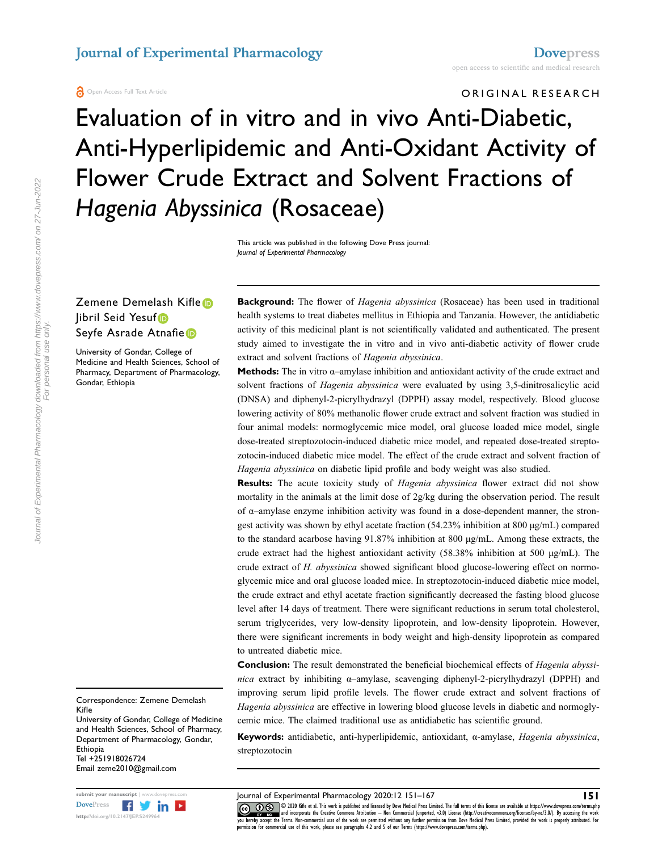ORIGINAL RESEARCH

# Evaluation of in vitro and in vivo Anti-Diabetic, Anti-Hyperlipidemic and Anti-Oxidant Activity of Flower Crude Extract and Solvent Fractions of Hagenia Abyssinica (Rosaceae)

This article was published in the following Dove Press journal:  $\frac{1}{2}$  =  $\frac{1}{2}$  Pharmacology  $\frac{1}{2}$ 

#### Zemene Demelash Kifle Jibril Seid Yesuf Seyfe Asrade Atnafie

University of Gondar, College of Medicine and Health Sciences, School of Pharmacy, Department of Pharmacology, Gondar, Ethiopia

**Background:** The flower of *Hagenia abyssinica* (Rosaceae) has been used in traditional health systems to treat diabetes mellitus in Ethiopia and Tanzania. However, the antidiabetic activity of this medicinal plant is not scientifically validated and authenticated. The present study aimed to investigate the in vitro and in vivo anti-diabetic activity of flower crude extract and solvent fractions of Hagenia abyssinica.

**Methods:** The in vitro  $\alpha$ –amylase inhibition and antioxidant activity of the crude extract and solvent fractions of Hagenia abyssinica were evaluated by using 3,5-dinitrosalicylic acid (DNSA) and diphenyl-2-picrylhydrazyl (DPPH) assay model, respectively. Blood glucose lowering activity of 80% methanolic flower crude extract and solvent fraction was studied in four animal models: normoglycemic mice model, oral glucose loaded mice model, single dose-treated streptozotocin-induced diabetic mice model, and repeated dose-treated streptozotocin-induced diabetic mice model. The effect of the crude extract and solvent fraction of Hagenia abyssinica on diabetic lipid profile and body weight was also studied.

Results: The acute toxicity study of Hagenia abyssinica flower extract did not show mortality in the animals at the limit dose of 2g/kg during the observation period. The result of α–amylase enzyme inhibition activity was found in a dose-dependent manner, the strongest activity was shown by ethyl acetate fraction (54.23% inhibition at 800 μg/mL) compared to the standard acarbose having 91.87% inhibition at 800 μg/mL. Among these extracts, the crude extract had the highest antioxidant activity  $(58.38\%$  inhibition at 500  $\mu$ g/mL). The crude extract of H. abyssinica showed significant blood glucose-lowering effect on normoglycemic mice and oral glucose loaded mice. In streptozotocin-induced diabetic mice model, the crude extract and ethyl acetate fraction significantly decreased the fasting blood glucose level after 14 days of treatment. There were significant reductions in serum total cholesterol, serum triglycerides, very low-density lipoprotein, and low-density lipoprotein. However, there were significant increments in body weight and high-density lipoprotein as compared to untreated diabetic mice.

**Conclusion:** The result demonstrated the beneficial biochemical effects of *Hagenia abyssi*nica extract by inhibiting α–amylase, scavenging diphenyl-2-picrylhydrazyl (DPPH) and improving serum lipid profile levels. The flower crude extract and solvent fractions of Hagenia abyssinica are effective in lowering blood glucose levels in diabetic and normoglycemic mice. The claimed traditional use as antidiabetic has scientific ground.

Keywords: antidiabetic, anti-hyperlipidemic, antioxidant, α-amylase, Hagenia abyssinica, streptozotocin

submit your manuscript | www.dovepress.com Journal of Experimental Pharmacology 2020:12 151–167 151 CC **D**S © 2020 Kifle et al. This work is published and licensed by Dove Medical Press Limited. The full terms of this license are available at https://www.dovepress.com/terms.php www.particle.com and incorporate the Creative Commons Attribution — Non Commercial (unported, v3.0) License (http://creativecommons.org/licenses/by-nc/3.0/). By accessing the work<br>you hereby accept the Terms. Non-commercia permission for commercial use of this work, please see paragraphs 4.2 and 5 of our Terms (https://www.dovepress.com/terms.php).

Correspondence: Zemene Demelash Kifle

University of Gondar, College of Medicine and Health Sciences, School of Pharmacy, Department of Pharmacology, Gondar, Ethiopia Tel +251918026724 Email zeme2010@gmail.com

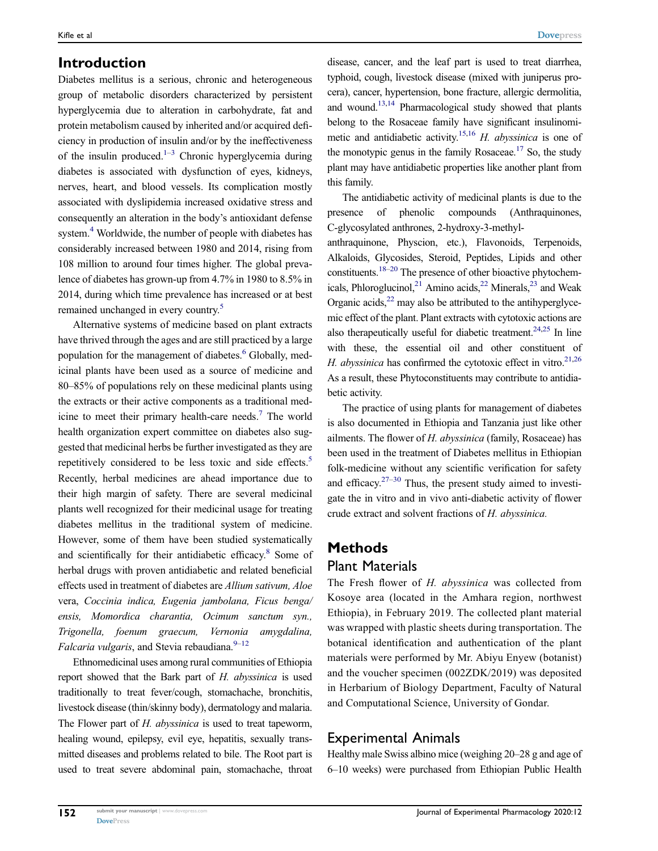#### Introduction

<span id="page-1-0"></span>Diabetes mellitus is a serious, chronic and heterogeneous group of metabolic disorders characterized by persistent hyperglycemia due to alteration in carbohydrate, fat and protein metabolism caused by inherited and/or acquired deficiency in production of insulin and/or by the ineffectiveness of the insulin produced.<sup>1–[3](#page-14-1)</sup> Chronic hyperglycemia during diabetes is associated with dysfunction of eyes, kidneys, nerves, heart, and blood vessels. Its complication mostly associated with dyslipidemia increased oxidative stress and consequently an alteration in the body's antioxidant defense system.<sup>[4](#page-14-2)</sup> Worldwide, the number of people with diabetes has considerably increased between 1980 and 2014, rising from 108 million to around four times higher. The global prevalence of diabetes has grown-up from 4.7% in 1980 to 8.5% in 2014, during which time prevalence has increased or at best remained unchanged in every country.[5](#page-14-3)

<span id="page-1-4"></span><span id="page-1-3"></span><span id="page-1-2"></span><span id="page-1-1"></span>Alternative systems of medicine based on plant extracts have thrived through the ages and are still practiced by a large population for the management of diabetes.<sup>6</sup> Globally, medicinal plants have been used as a source of medicine and 80–85% of populations rely on these medicinal plants using the extracts or their active components as a traditional med-icine to meet their primary health-care needs.<sup>[7](#page-14-5)</sup> The world health organization expert committee on diabetes also suggested that medicinal herbs be further investigated as they are repetitively considered to be less toxic and side effects.<sup>5</sup> Recently, herbal medicines are ahead importance due to their high margin of safety. There are several medicinal plants well recognized for their medicinal usage for treating diabetes mellitus in the traditional system of medicine. However, some of them have been studied systematically and scientifically for their antidiabetic efficacy.<sup>[8](#page-14-6)</sup> Some of herbal drugs with proven antidiabetic and related beneficial effects used in treatment of diabetes are Allium sativum, Aloe vera, Coccinia indica, Eugenia jambolana, Ficus benga/ ensis, Momordica charantia, Ocimum sanctum syn., Trigonella, foenum graecum, Vernonia amygdalina, Falcaria vulgaris, and Stevia rebaudiana. $9-12$  $9-12$ 

<span id="page-1-6"></span><span id="page-1-5"></span>Ethnomedicinal uses among rural communities of Ethiopia report showed that the Bark part of H. abyssinica is used traditionally to treat fever/cough, stomachache, bronchitis, livestock disease (thin/skinny body), dermatology and malaria. The Flower part of H. abyssinica is used to treat tapeworm, healing wound, epilepsy, evil eye, hepatitis, sexually transmitted diseases and problems related to bile. The Root part is used to treat severe abdominal pain, stomachache, throat

<span id="page-1-7"></span>disease, cancer, and the leaf part is used to treat diarrhea, typhoid, cough, livestock disease (mixed with juniperus procera), cancer, hypertension, bone fracture, allergic dermolitia, and wound.[13](#page-14-9)[,14](#page-14-10) Pharmacological study showed that plants belong to the Rosaceae family have significant insulinomi-metic and antidiabetic activity.<sup>[15](#page-14-11)[,16](#page-14-12)</sup> H. abyssinica is one of the monotypic genus in the family Rosaceae.<sup>17</sup> So, the study plant may have antidiabetic properties like another plant from this family.

<span id="page-1-9"></span><span id="page-1-8"></span>The antidiabetic activity of medicinal plants is due to the presence of phenolic compounds (Anthraquinones, C-glycosylated anthrones, 2-hydroxy-3-methyl-

<span id="page-1-13"></span><span id="page-1-12"></span><span id="page-1-10"></span>anthraquinone, Physcion, etc.), Flavonoids, Terpenoids, Alkaloids, Glycosides, Steroid, Peptides, Lipids and other constituents[.18](#page-14-14)–[20](#page-14-15) The presence of other bioactive phytochemicals, Phloroglucinol,  $^{21}$  Amino acids,  $^{22}$  Minerals,  $^{23}$  and Weak Organic acids, $^{22}$  may also be attributed to the antihyperglycemic effect of the plant. Plant extracts with cytotoxic actions are also therapeutically useful for diabetic treatment.<sup>24[,25](#page-14-20)</sup> In line with these, the essential oil and other constituent of H. abyssinica has confirmed the cytotoxic effect in vitro.<sup>21[,26](#page-14-21)</sup> As a result, these Phytoconstituents may contribute to antidiabetic activity.

<span id="page-1-15"></span><span id="page-1-14"></span><span id="page-1-11"></span>The practice of using plants for management of diabetes is also documented in Ethiopia and Tanzania just like other ailments. The flower of H. abyssinica (family, Rosaceae) has been used in the treatment of Diabetes mellitus in Ethiopian folk-medicine without any scientific verification for safety and efficacy. $27-30$  $27-30$  Thus, the present study aimed to investigate the in vitro and in vivo anti-diabetic activity of flower crude extract and solvent fractions of H. abyssinica.

#### Methods

#### Plant Materials

The Fresh flower of H. abyssinica was collected from Kosoye area (located in the Amhara region, northwest Ethiopia), in February 2019. The collected plant material was wrapped with plastic sheets during transportation. The botanical identification and authentication of the plant materials were performed by Mr. Abiyu Enyew (botanist) and the voucher specimen (002ZDK/2019) was deposited in Herbarium of Biology Department, Faculty of Natural and Computational Science, University of Gondar.

#### Experimental Animals

Healthy male Swiss albino mice (weighing 20–28 g and age of 6–10 weeks) were purchased from Ethiopian Public Health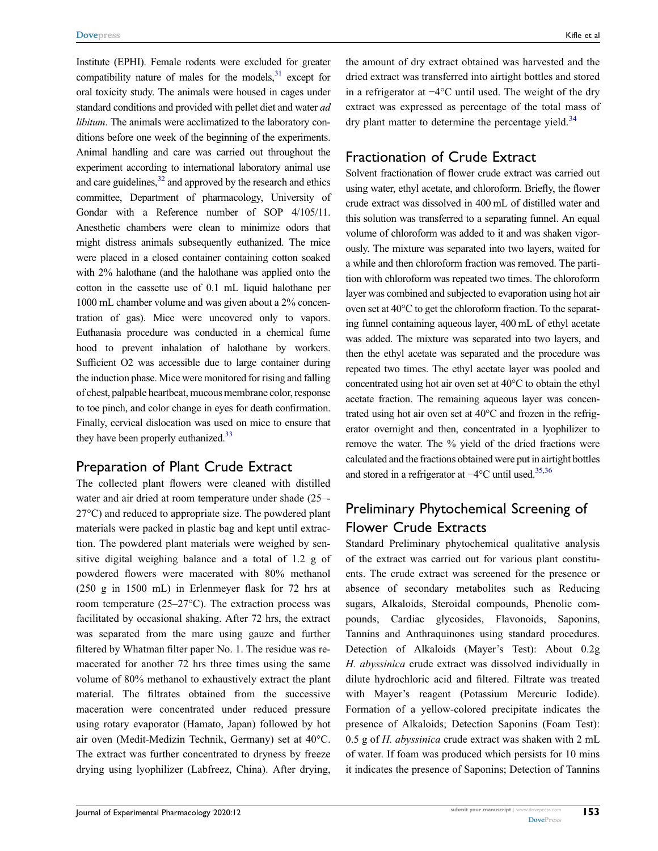<span id="page-2-1"></span><span id="page-2-0"></span>Institute (EPHI). Female rodents were excluded for greater compatibility nature of males for the models, $31$  except for oral toxicity study. The animals were housed in cages under standard conditions and provided with pellet diet and water ad libitum. The animals were acclimatized to the laboratory conditions before one week of the beginning of the experiments. Animal handling and care was carried out throughout the experiment according to international laboratory animal use and care guidelines,<sup>[32](#page-14-25)</sup> and approved by the research and ethics committee, Department of pharmacology, University of Gondar with a Reference number of SOP 4/105/11. Anesthetic chambers were clean to minimize odors that might distress animals subsequently euthanized. The mice were placed in a closed container containing cotton soaked with 2% halothane (and the halothane was applied onto the cotton in the cassette use of 0.1 mL liquid halothane per 1000 mL chamber volume and was given about a 2% concentration of gas). Mice were uncovered only to vapors. Euthanasia procedure was conducted in a chemical fume hood to prevent inhalation of halothane by workers. Sufficient O2 was accessible due to large container during the induction phase. Mice were monitored for rising and falling of chest, palpable heartbeat, mucous membrane color, response to toe pinch, and color change in eyes for death confirmation. Finally, cervical dislocation was used on mice to ensure that they have been properly euthanized.<sup>33</sup>

#### <span id="page-2-2"></span>Preparation of Plant Crude Extract

The collected plant flowers were cleaned with distilled water and air dried at room temperature under shade (25–- 27°C) and reduced to appropriate size. The powdered plant materials were packed in plastic bag and kept until extraction. The powdered plant materials were weighed by sensitive digital weighing balance and a total of 1.2 g of powdered flowers were macerated with 80% methanol (250 g in 1500 mL) in Erlenmeyer flask for 72 hrs at room temperature (25–27°C). The extraction process was facilitated by occasional shaking. After 72 hrs, the extract was separated from the marc using gauze and further filtered by Whatman filter paper No. 1. The residue was remacerated for another 72 hrs three times using the same volume of 80% methanol to exhaustively extract the plant material. The filtrates obtained from the successive maceration were concentrated under reduced pressure using rotary evaporator (Hamato, Japan) followed by hot air oven (Medit-Medizin Technik, Germany) set at 40°C. The extract was further concentrated to dryness by freeze drying using lyophilizer (Labfreez, China). After drying,

the amount of dry extract obtained was harvested and the dried extract was transferred into airtight bottles and stored in a refrigerator at −4°C until used. The weight of the dry extract was expressed as percentage of the total mass of dry plant matter to determine the percentage yield.<sup>[34](#page-15-0)</sup>

#### <span id="page-2-3"></span>Fractionation of Crude Extract

Solvent fractionation of flower crude extract was carried out using water, ethyl acetate, and chloroform. Briefly, the flower crude extract was dissolved in 400 mL of distilled water and this solution was transferred to a separating funnel. An equal volume of chloroform was added to it and was shaken vigorously. The mixture was separated into two layers, waited for a while and then chloroform fraction was removed. The partition with chloroform was repeated two times. The chloroform layer was combined and subjected to evaporation using hot air oven set at 40°C to get the chloroform fraction. To the separating funnel containing aqueous layer, 400 mL of ethyl acetate was added. The mixture was separated into two layers, and then the ethyl acetate was separated and the procedure was repeated two times. The ethyl acetate layer was pooled and concentrated using hot air oven set at 40°C to obtain the ethyl acetate fraction. The remaining aqueous layer was concentrated using hot air oven set at 40°C and frozen in the refrigerator overnight and then, concentrated in a lyophilizer to remove the water. The % yield of the dried fractions were calculated and the fractions obtained were put in airtight bottles and stored in a refrigerator at −4°C until used[.35](#page-15-1)[,36](#page-15-2)

## <span id="page-2-4"></span>Preliminary Phytochemical Screening of Flower Crude Extracts

Standard Preliminary phytochemical qualitative analysis of the extract was carried out for various plant constituents. The crude extract was screened for the presence or absence of secondary metabolites such as Reducing sugars, Alkaloids, Steroidal compounds, Phenolic compounds, Cardiac glycosides, Flavonoids, Saponins, Tannins and Anthraquinones using standard procedures. Detection of Alkaloids (Mayer's Test): About 0.2g H. abyssinica crude extract was dissolved individually in dilute hydrochloric acid and filtered. Filtrate was treated with Mayer's reagent (Potassium Mercuric Iodide). Formation of a yellow-colored precipitate indicates the presence of Alkaloids; Detection Saponins (Foam Test): 0.5 g of  $H$ . abyssinica crude extract was shaken with 2 mL of water. If foam was produced which persists for 10 mins it indicates the presence of Saponins; Detection of Tannins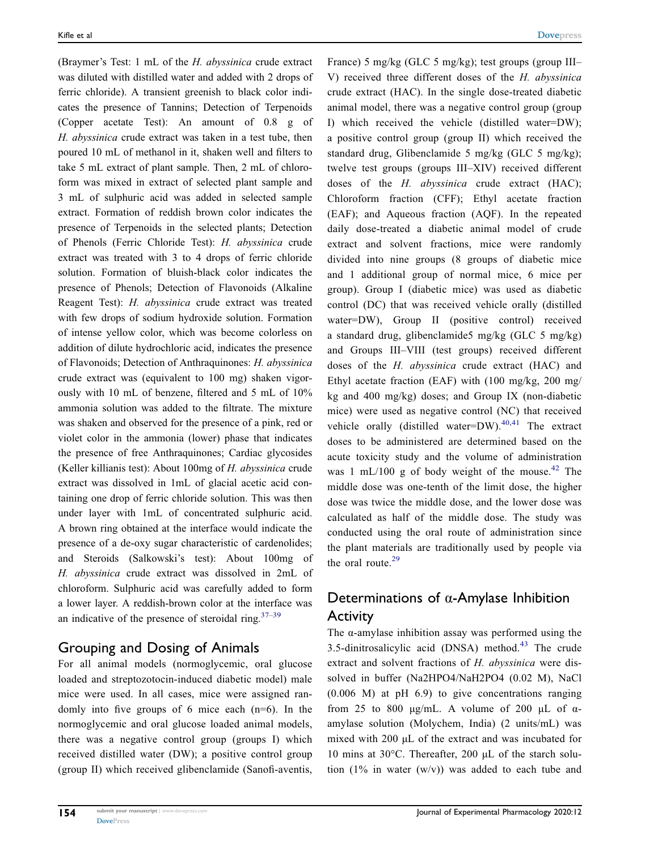(Braymer's Test: 1 mL of the H. abyssinica crude extract was diluted with distilled water and added with 2 drops of ferric chloride). A transient greenish to black color indicates the presence of Tannins; Detection of Terpenoids (Copper acetate Test): An amount of 0.8 g of H. abyssinica crude extract was taken in a test tube, then poured 10 mL of methanol in it, shaken well and filters to take 5 mL extract of plant sample. Then, 2 mL of chloroform was mixed in extract of selected plant sample and 3 mL of sulphuric acid was added in selected sample extract. Formation of reddish brown color indicates the presence of Terpenoids in the selected plants; Detection of Phenols (Ferric Chloride Test): H. abyssinica crude extract was treated with 3 to 4 drops of ferric chloride solution. Formation of bluish-black color indicates the presence of Phenols; Detection of Flavonoids (Alkaline Reagent Test): H. abyssinica crude extract was treated with few drops of sodium hydroxide solution. Formation of intense yellow color, which was become colorless on addition of dilute hydrochloric acid, indicates the presence of Flavonoids; Detection of Anthraquinones: H. abyssinica crude extract was (equivalent to 100 mg) shaken vigorously with 10 mL of benzene, filtered and 5 mL of 10% ammonia solution was added to the filtrate. The mixture was shaken and observed for the presence of a pink, red or violet color in the ammonia (lower) phase that indicates the presence of free Anthraquinones; Cardiac glycosides (Keller killianis test): About 100mg of H. abyssinica crude extract was dissolved in 1mL of glacial acetic acid containing one drop of ferric chloride solution. This was then under layer with 1mL of concentrated sulphuric acid. A brown ring obtained at the interface would indicate the presence of a de-oxy sugar characteristic of cardenolides; and Steroids (Salkowski's test): About 100mg of H. abyssinica crude extract was dissolved in 2mL of chloroform. Sulphuric acid was carefully added to form a lower layer. A reddish-brown color at the interface was an indicative of the presence of steroidal ring. $37-39$  $37-39$  $37-39$ 

#### <span id="page-3-1"></span>Grouping and Dosing of Animals

For all animal models (normoglycemic, oral glucose loaded and streptozotocin-induced diabetic model) male mice were used. In all cases, mice were assigned randomly into five groups of 6 mice each  $(n=6)$ . In the normoglycemic and oral glucose loaded animal models, there was a negative control group (groups I) which received distilled water (DW); a positive control group (group II) which received glibenclamide (Sanofi-aventis,

France) 5 mg/kg (GLC 5 mg/kg); test groups (group III– V) received three different doses of the H. abyssinica crude extract (HAC). In the single dose-treated diabetic animal model, there was a negative control group (group I) which received the vehicle (distilled water=DW); a positive control group (group II) which received the standard drug, Glibenclamide 5 mg/kg (GLC 5 mg/kg); twelve test groups (groups III–XIV) received different doses of the H. abyssinica crude extract (HAC); Chloroform fraction (CFF); Ethyl acetate fraction (EAF); and Aqueous fraction (AQF). In the repeated daily dose-treated a diabetic animal model of crude extract and solvent fractions, mice were randomly divided into nine groups (8 groups of diabetic mice and 1 additional group of normal mice, 6 mice per group). Group I (diabetic mice) was used as diabetic control (DC) that was received vehicle orally (distilled water=DW), Group II (positive control) received a standard drug, glibenclamide5 mg/kg (GLC 5 mg/kg) and Groups III–VIII (test groups) received different doses of the H. abyssinica crude extract (HAC) and Ethyl acetate fraction (EAF) with (100 mg/kg, 200 mg/ kg and 400 mg/kg) doses; and Group IX (non-diabetic mice) were used as negative control (NC) that received vehicle orally (distilled water=DW).<sup>[40](#page-15-5)[,41](#page-15-6)</sup> The extract doses to be administered are determined based on the acute toxicity study and the volume of administration was 1 mL/100 g of body weight of the mouse.<sup>[42](#page-15-7)</sup> The middle dose was one-tenth of the limit dose, the higher dose was twice the middle dose, and the lower dose was calculated as half of the middle dose. The study was conducted using the oral route of administration since the plant materials are traditionally used by people via the oral route. $29$ 

# <span id="page-3-3"></span><span id="page-3-2"></span><span id="page-3-0"></span>Determinations of α-Amylase Inhibition Activity

<span id="page-3-4"></span>The  $\alpha$ -amylase inhibition assay was performed using the 3.5-dinitrosalicylic acid (DNSA) method. $43$  The crude extract and solvent fractions of H. abyssinica were dissolved in buffer (Na2HPO4/NaH2PO4 (0.02 M), NaCl (0.006 M) at pH 6.9) to give concentrations ranging from 25 to 800 μg/mL. A volume of 200 μL of  $\alpha$ amylase solution (Molychem, India) (2 units/mL) was mixed with 200 μL of the extract and was incubated for 10 mins at 30°C. Thereafter, 200 μL of the starch solution  $(1\%$  in water  $(w/v)$  was added to each tube and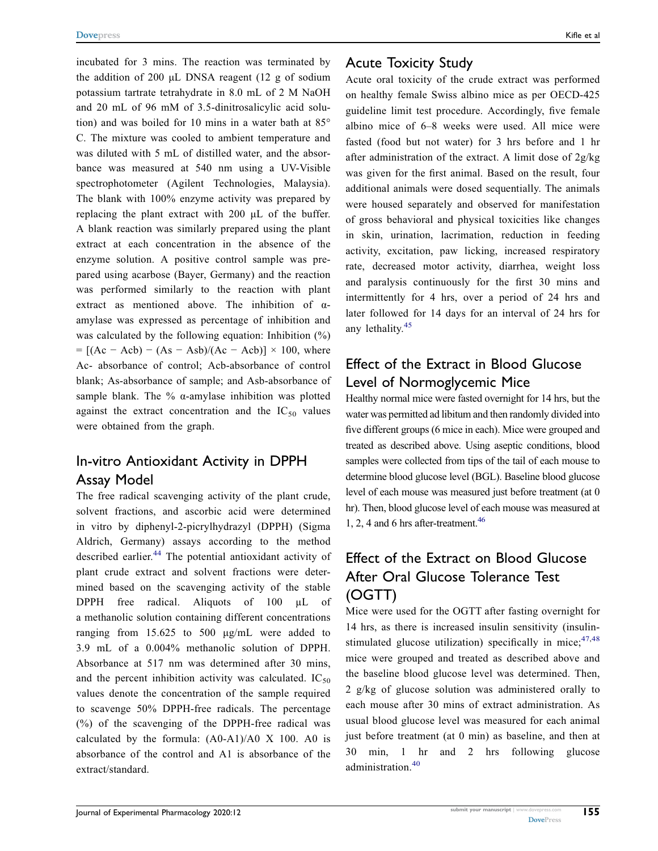incubated for 3 mins. The reaction was terminated by the addition of 200 μL DNSA reagent (12 g of sodium potassium tartrate tetrahydrate in 8.0 mL of 2 M NaOH and 20 mL of 96 mM of 3.5-dinitrosalicylic acid solution) and was boiled for 10 mins in a water bath at 85° C. The mixture was cooled to ambient temperature and was diluted with 5 mL of distilled water, and the absorbance was measured at 540 nm using a UV-Visible spectrophotometer (Agilent Technologies, Malaysia). The blank with 100% enzyme activity was prepared by replacing the plant extract with 200 μL of the buffer. A blank reaction was similarly prepared using the plant extract at each concentration in the absence of the enzyme solution. A positive control sample was prepared using acarbose (Bayer, Germany) and the reaction was performed similarly to the reaction with plant extract as mentioned above. The inhibition of αamylase was expressed as percentage of inhibition and was calculated by the following equation: Inhibition  $(\%)$  $= [(Ac - Acb) - (As - Asb)/(Ac - Acb)] \times 100$ , where Ac- absorbance of control; Acb-absorbance of control blank; As-absorbance of sample; and Asb-absorbance of sample blank. The %  $\alpha$ -amylase inhibition was plotted against the extract concentration and the  $IC_{50}$  values were obtained from the graph.

#### In-vitro Antioxidant Activity in DPPH Assay Model

<span id="page-4-0"></span>The free radical scavenging activity of the plant crude, solvent fractions, and ascorbic acid were determined in vitro by diphenyl-2-picrylhydrazyl (DPPH) (Sigma Aldrich, Germany) assays according to the method described earlier.<sup>[44](#page-15-9)</sup> The potential antioxidant activity of plant crude extract and solvent fractions were determined based on the scavenging activity of the stable DPPH free radical. Aliquots of 100 µL of a methanolic solution containing different concentrations ranging from 15.625 to 500 μg/mL were added to 3.9 mL of a 0.004% methanolic solution of DPPH. Absorbance at 517 nm was determined after 30 mins, and the percent inhibition activity was calculated.  $IC_{50}$ values denote the concentration of the sample required to scavenge 50% DPPH-free radicals. The percentage (%) of the scavenging of the DPPH-free radical was calculated by the formula: (A0-A1)/A0 X 100. A0 is absorbance of the control and A1 is absorbance of the extract/standard.

#### Acute Toxicity Study

Acute oral toxicity of the crude extract was performed on healthy female Swiss albino mice as per OECD-425 guideline limit test procedure. Accordingly, five female albino mice of 6–8 weeks were used. All mice were fasted (food but not water) for 3 hrs before and 1 hr after administration of the extract. A limit dose of 2g/kg was given for the first animal. Based on the result, four additional animals were dosed sequentially. The animals were housed separately and observed for manifestation of gross behavioral and physical toxicities like changes in skin, urination, lacrimation, reduction in feeding activity, excitation, paw licking, increased respiratory rate, decreased motor activity, diarrhea, weight loss and paralysis continuously for the first 30 mins and intermittently for 4 hrs, over a period of 24 hrs and later followed for 14 days for an interval of 24 hrs for any lethality.[45](#page-15-10)

## <span id="page-4-1"></span>Effect of the Extract in Blood Glucose Level of Normoglycemic Mice

Healthy normal mice were fasted overnight for 14 hrs, but the water was permitted ad libitum and then randomly divided into five different groups (6 mice in each). Mice were grouped and treated as described above. Using aseptic conditions, blood samples were collected from tips of the tail of each mouse to determine blood glucose level (BGL). Baseline blood glucose level of each mouse was measured just before treatment (at 0 hr). Then, blood glucose level of each mouse was measured at 1, 2, 4 and 6 hrs after-treatment. $46$ 

# <span id="page-4-2"></span>Effect of the Extract on Blood Glucose After Oral Glucose Tolerance Test (OGTT)

<span id="page-4-3"></span>Mice were used for the OGTT after fasting overnight for 14 hrs, as there is increased insulin sensitivity (insulinstimulated glucose utilization) specifically in mice;  $47,48$  $47,48$ mice were grouped and treated as described above and the baseline blood glucose level was determined. Then, 2 g/kg of glucose solution was administered orally to each mouse after 30 mins of extract administration. As usual blood glucose level was measured for each animal just before treatment (at 0 min) as baseline, and then at 30 min, 1 hr and 2 hrs following glucose administration<sup>[40](#page-15-5)</sup>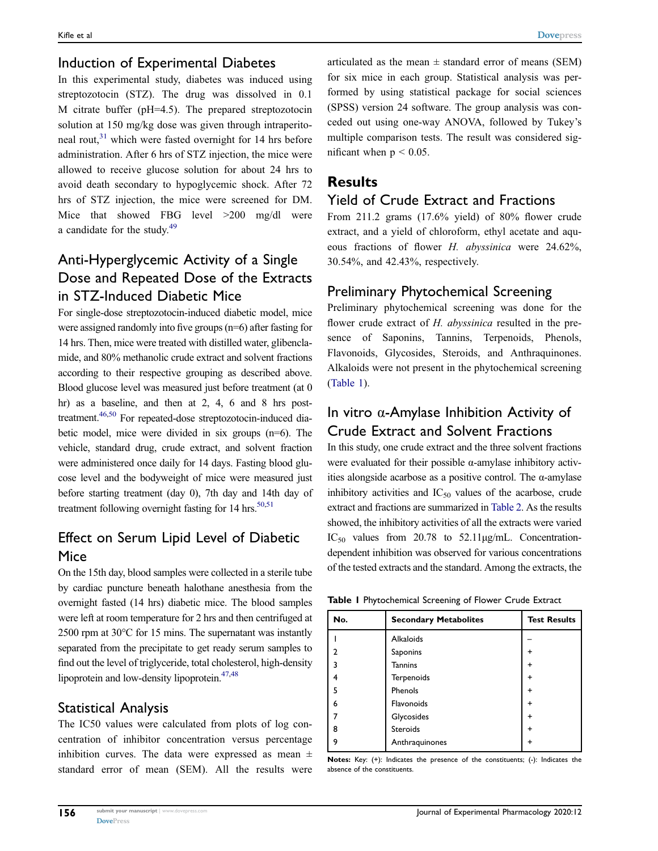#### Induction of Experimental Diabetes

In this experimental study, diabetes was induced using streptozotocin (STZ). The drug was dissolved in 0.1 M citrate buffer (pH=4.5). The prepared streptozotocin solution at 150 mg/kg dose was given through intraperitoneal rout, $31$  which were fasted overnight for 14 hrs before administration. After 6 hrs of STZ injection, the mice were allowed to receive glucose solution for about 24 hrs to avoid death secondary to hypoglycemic shock. After 72 hrs of STZ injection, the mice were screened for DM. Mice that showed FBG level >200 mg/dl were a candidate for the study.[49](#page-15-14)

# <span id="page-5-1"></span>Anti-Hyperglycemic Activity of a Single Dose and Repeated Dose of the Extracts in STZ-Induced Diabetic Mice

For single-dose streptozotocin-induced diabetic model, mice were assigned randomly into five groups (n=6) after fasting for 14 hrs. Then, mice were treated with distilled water, glibenclamide, and 80% methanolic crude extract and solvent fractions according to their respective grouping as described above. Blood glucose level was measured just before treatment (at 0 hr) as a baseline, and then at 2, 4, 6 and 8 hrs post-treatment.<sup>46[,50](#page-15-15)</sup> For repeated-dose streptozotocin-induced diabetic model, mice were divided in six groups (n=6). The vehicle, standard drug, crude extract, and solvent fraction were administered once daily for 14 days. Fasting blood glucose level and the bodyweight of mice were measured just before starting treatment (day 0), 7th day and 14th day of treatment following overnight fasting for 14 hrs. $50,51$  $50,51$ 

## <span id="page-5-2"></span>Effect on Serum Lipid Level of Diabetic Mice

On the 15th day, blood samples were collected in a sterile tube by cardiac puncture beneath halothane anesthesia from the overnight fasted (14 hrs) diabetic mice. The blood samples were left at room temperature for 2 hrs and then centrifuged at 2500 rpm at 30°C for 15 mins. The supernatant was instantly separated from the precipitate to get ready serum samples to find out the level of triglyceride, total cholesterol, high-density lipoprotein and low-density lipoprotein.<sup>47,[48](#page-15-13)</sup>

#### Statistical Analysis

The IC50 values were calculated from plots of log concentration of inhibitor concentration versus percentage inhibition curves. The data were expressed as mean  $\pm$ standard error of mean (SEM). All the results were articulated as the mean  $\pm$  standard error of means (SEM) for six mice in each group. Statistical analysis was performed by using statistical package for social sciences (SPSS) version 24 software. The group analysis was conceded out using one-way ANOVA, followed by Tukey's multiple comparison tests. The result was considered significant when  $p < 0.05$ .

## Results

## Yield of Crude Extract and Fractions

From 211.2 grams (17.6% yield) of 80% flower crude extract, and a yield of chloroform, ethyl acetate and aqueous fractions of flower H. abyssinica were 24.62%, 30.54%, and 42.43%, respectively.

## Preliminary Phytochemical Screening

Preliminary phytochemical screening was done for the flower crude extract of H. abyssinica resulted in the presence of Saponins, Tannins, Terpenoids, Phenols, Flavonoids, Glycosides, Steroids, and Anthraquinones. Alkaloids were not present in the phytochemical screening [\(Table 1](#page-5-0)).

## In vitro  $\alpha$ -Amylase Inhibition Activity of Crude Extract and Solvent Fractions

In this study, one crude extract and the three solvent fractions were evaluated for their possible α-amylase inhibitory activities alongside acarbose as a positive control. The α-amylase inhibitory activities and  $IC_{50}$  values of the acarbose, crude extract and fractions are summarized in [Table 2](#page-6-0). As the results showed, the inhibitory activities of all the extracts were varied  $IC_{50}$  values from 20.78 to 52.11 $\mu$ g/mL. Concentrationdependent inhibition was observed for various concentrations of the tested extracts and the standard. Among the extracts, the

<span id="page-5-0"></span>

|  | Table I Phytochemical Screening of Flower Crude Extract |  |  |  |  |
|--|---------------------------------------------------------|--|--|--|--|
|--|---------------------------------------------------------|--|--|--|--|

| No. | <b>Secondary Metabolites</b> | <b>Test Results</b> |
|-----|------------------------------|---------------------|
|     | Alkaloids                    |                     |
| 7   | Saponins                     |                     |
| 3   | <b>Tannins</b>               | ÷                   |
| 4   | Terpenoids                   |                     |
| 5   | Phenols                      | ÷                   |
| 6   | Flavonoids                   | +                   |
|     | Glycosides                   | ÷                   |
| 8   | <b>Steroids</b>              | ÷                   |
| 9   | Anthraquinones               |                     |

Notes: Key: (+): Indicates the presence of the constituents; (-): Indicates the absence of the constituents.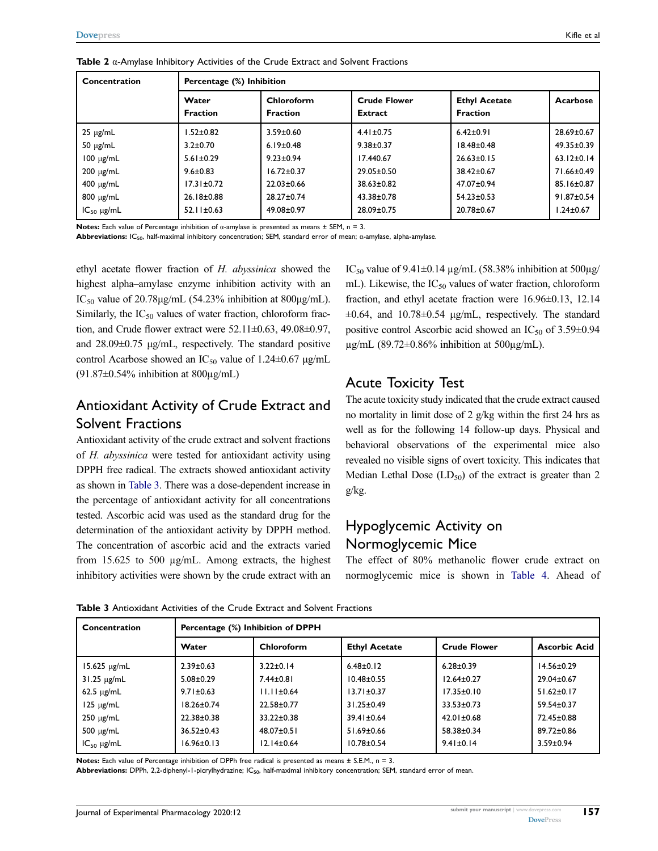<span id="page-6-0"></span>

| Concentration   | Percentage (%) Inhibition |                               |                                |                                         |                  |  |  |
|-----------------|---------------------------|-------------------------------|--------------------------------|-----------------------------------------|------------------|--|--|
|                 | Water<br><b>Fraction</b>  | Chloroform<br><b>Fraction</b> | <b>Crude Flower</b><br>Extract | <b>Ethyl Acetate</b><br><b>Fraction</b> | Acarbose         |  |  |
| $25 \mu g/mL$   | $1.52 \pm 0.82$           | $3.59 \pm 0.60$               | $4.41 \pm 0.75$                | $6.42 \pm 0.91$                         | 28.69±0.67       |  |  |
| $50 \mu g/mL$   | $3.2 + 0.70$              | $6.19 \pm 0.48$               | $9.38 \pm 0.37$                | $18.48 \pm 0.48$                        | $49.35 \pm 0.39$ |  |  |
| $100 \mu g/mL$  | $5.61 \pm 0.29$           | $9.23 \pm 0.94$               | 17.440.67                      | $26.63 \pm 0.15$                        | $63.12 \pm 0.14$ |  |  |
| $200 \mu g/mL$  | $9.6 \pm 0.83$            | $16.72 \pm 0.37$              | 29.05±0.50                     | 38.42±0.67                              | 71.66±0.49       |  |  |
| $400 \mu g/mL$  | $17.31 \pm 0.72$          | $22.03 \pm 0.66$              | $38.63 \pm 0.82$               | 47.07±0.94                              | 85.16±0.87       |  |  |
| $800 \mu g/mL$  | 26.18±0.88                | 28.27±0.74                    | 43.38±0.78                     | $54.23 \pm 0.53$                        | $91.87 \pm 0.54$ |  |  |
| $IC_{50}$ µg/mL | $52.11 \pm 0.63$          | 49.08±0.97                    | 28.09±0.75                     | 20.78±0.67                              | $1.24 \pm 0.67$  |  |  |

**Notes:** Each value of Percentage inhibition of  $\alpha$ -amylase is presented as means  $\pm$  SEM, n = 3.

Abbreviations: IC50, half-maximal inhibitory concentration; SEM, standard error of mean; α-amylase, alpha-amylase.

ethyl acetate flower fraction of H. abyssinica showed the highest alpha–amylase enzyme inhibition activity with an IC<sub>50</sub> value of 20.78 $\mu$ g/mL (54.23% inhibition at 800 $\mu$ g/mL). Similarly, the  $IC_{50}$  values of water fraction, chloroform fraction, and Crude flower extract were 52.11±0.63, 49.08±0.97, and 28.09±0.75 μg/mL, respectively. The standard positive control Acarbose showed an  $IC_{50}$  value of 1.24±0.67  $\mu$ g/mL  $(91.87\pm0.54\%$  inhibition at  $800\mu\text{g/mL}$ )

## Antioxidant Activity of Crude Extract and Solvent Fractions

Antioxidant activity of the crude extract and solvent fractions of H. abyssinica were tested for antioxidant activity using DPPH free radical. The extracts showed antioxidant activity as shown in [Table 3](#page-6-1). There was a dose-dependent increase in the percentage of antioxidant activity for all concentrations tested. Ascorbic acid was used as the standard drug for the determination of the antioxidant activity by DPPH method. The concentration of ascorbic acid and the extracts varied from 15.625 to 500 µg/mL. Among extracts, the highest inhibitory activities were shown by the crude extract with an

IC<sub>50</sub> value of 9.41 $\pm$ 0.14 µg/mL (58.38% inhibition at 500µg/ mL). Likewise, the  $IC_{50}$  values of water fraction, chloroform fraction, and ethyl acetate fraction were 16.96±0.13, 12.14  $\pm 0.64$ , and  $10.78 \pm 0.54$  µg/mL, respectively. The standard positive control Ascorbic acid showed an  $IC_{50}$  of 3.59 $\pm$ 0.94  $\mu$ g/mL (89.72±0.86% inhibition at 500 $\mu$ g/mL).

#### Acute Toxicity Test

The acute toxicity study indicated that the crude extract caused no mortality in limit dose of 2 g/kg within the first 24 hrs as well as for the following 14 follow-up days. Physical and behavioral observations of the experimental mice also revealed no visible signs of overt toxicity. This indicates that Median Lethal Dose  $(LD_{50})$  of the extract is greater than 2 g/kg.

## Hypoglycemic Activity on Normoglycemic Mice

The effect of 80% methanolic flower crude extract on normoglycemic mice is shown in [Table 4.](#page-7-0) Ahead of

| Concentration         | Percentage (%) Inhibition of DPPH |                  |                      |                     |                      |  |  |
|-----------------------|-----------------------------------|------------------|----------------------|---------------------|----------------------|--|--|
|                       | Water                             | Chloroform       | <b>Ethyl Acetate</b> | <b>Crude Flower</b> | <b>Ascorbic Acid</b> |  |  |
| $15.625 \mu g/mL$     | $2.39 \pm 0.63$                   | $3.22 \pm 0.14$  | $6.48 \pm 0.12$      | $6.28 \pm 0.39$     | $14.56 \pm 0.29$     |  |  |
| $31.25 \text{ µg/mL}$ | $5.08 \pm 0.29$                   | $7.44 \pm 0.81$  | $10.48 \pm 0.55$     | $12.64 \pm 0.27$    | $29.04 \pm 0.67$     |  |  |
| $62.5 \text{ µg/mL}$  | $9.71 \pm 0.63$                   | $11.11 \pm 0.64$ | $13.71 \pm 0.37$     | $17.35 \pm 0.10$    | $51.62 \pm 0.17$     |  |  |
| $125 \mu g/mL$        | 18.26±0.74                        | 22.58±0.77       | $31.25 \pm 0.49$     | $33.53 \pm 0.73$    | 59.54±0.37           |  |  |
| $250 \mu g/mL$        | 22.38±0.38                        | $33.22 \pm 0.38$ | $39.41 \pm 0.64$     | $42.01 \pm 0.68$    | 72.45±0.88           |  |  |
| 500 $\mu$ g/mL        | $36.52 \pm 0.43$                  | $48.07 \pm 0.51$ | 51.69±0.66           | 58.38±0.34          | 89.72±0.86           |  |  |
| $IC_{50}$ $\mu$ g/mL  | 16.96±0.13                        | $12.14 \pm 0.64$ | $10.78 + 0.54$       | $9.41 \pm 0.14$     | 3.59±0.94            |  |  |

<span id="page-6-1"></span>Table 3 Antioxidant Activities of the Crude Extract and Solvent Fractions

Notes: Each value of Percentage inhibition of DPPh free radical is presented as means ± S.E.M., n = 3.

Abbreviations: DPPh, 2,2-diphenyl-1-picrylhydrazine; IC<sub>50</sub>, half-maximal inhibitory concentration; SEM, standard error of mean.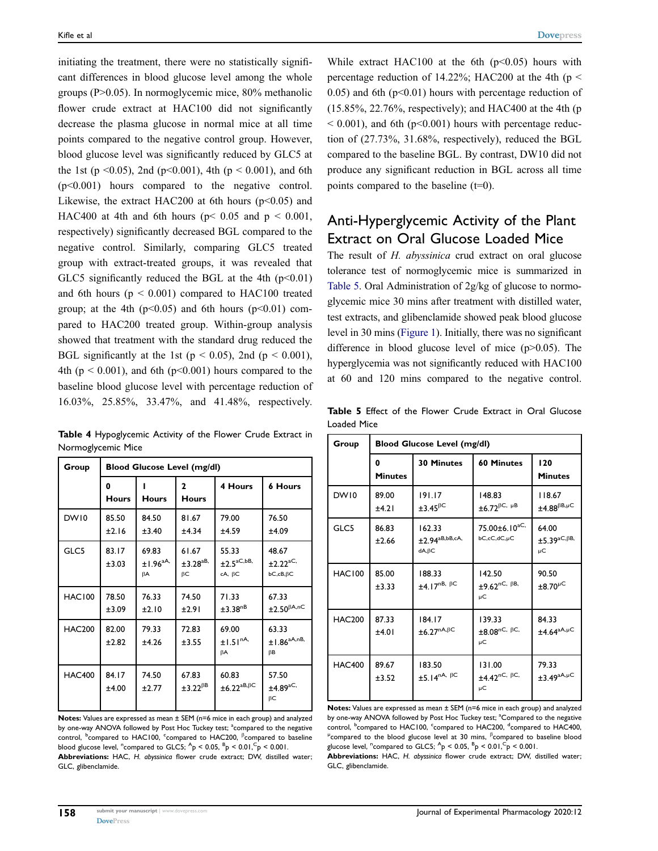initiating the treatment, there were no statistically significant differences in blood glucose level among the whole groups (P>0.05). In normoglycemic mice, 80% methanolic flower crude extract at HAC100 did not significantly decrease the plasma glucose in normal mice at all time points compared to the negative control group. However, blood glucose level was significantly reduced by GLC5 at the 1st (p < 0.05), 2nd (p < 0.001), 4th (p < 0.001), and 6th (p<0.001) hours compared to the negative control. Likewise, the extract HAC200 at 6th hours ( $p$ <0.05) and HAC400 at 4th and 6th hours ( $p$  < 0.05 and  $p$  < 0.001, respectively) significantly decreased BGL compared to the negative control. Similarly, comparing GLC5 treated group with extract-treated groups, it was revealed that GLC5 significantly reduced the BGL at the 4th  $(p<0.01)$ and 6th hours ( $p \le 0.001$ ) compared to HAC100 treated group; at the 4th ( $p<0.05$ ) and 6th hours ( $p<0.01$ ) compared to HAC200 treated group. Within-group analysis showed that treatment with the standard drug reduced the BGL significantly at the 1st ( $p < 0.05$ ), 2nd ( $p < 0.001$ ), 4th ( $p \le 0.001$ ), and 6th ( $p \le 0.001$ ) hours compared to the baseline blood glucose level with percentage reduction of 16.03%, 25.85%, 33.47%, and 41.48%, respectively.

<span id="page-7-0"></span>Table 4 Hypoglycemic Activity of the Flower Crude Extract in Normoglycemic Mice

| Group         | <b>Blood Glucose Level (mg/dl)</b> |                                    |                             |                                                       |                                                         |  |
|---------------|------------------------------------|------------------------------------|-----------------------------|-------------------------------------------------------|---------------------------------------------------------|--|
|               | O<br>Hours                         | <b>Hours</b>                       | 2<br>Hours                  | 4 Hours                                               | <b>6 Hours</b>                                          |  |
| DW10          | 85.50<br>±2.16                     | 84.50<br>±3.40                     | 81.67<br>±4.34              | 79.00<br>±4.59                                        | 76.50<br>±4.09                                          |  |
| GLC5          | 83.17<br>±3.03                     | 69.83<br>±1.96 <sup>aA</sup><br>βA | 61.67<br>$±3.28^{aB}$<br>βC | 55.33<br>$\pm 2.5^{aC,bB}$<br>$cA, \beta C$           | 48.67<br>±2.22 <sup>aC</sup><br>$bC$ , $cB$ , $\beta C$ |  |
| <b>HAC100</b> | 78.50<br>±3.09                     | 76.33<br>±2.10                     | 74.50<br>±2.91              | 71.33<br>$\pm 3.38$ <sup>nB</sup>                     | 67.33<br>$\pm 2.50^{\beta A, nC}$                       |  |
| <b>HAC200</b> | 82.00<br>±2.82                     | 79.33<br>±4.26                     | 72.83<br>±3.55              | 69.00<br>±1.51 <sup>nA</sup><br><b>BA</b>             | 63.33<br>$±1.86^{aA,nB}$<br>ßΒ                          |  |
| <b>HAC400</b> | 84.17<br>±4.00                     | 74.50<br>±2.77                     | 67.83<br>$\pm 3.22^{BB}$    | 60.83<br>$\pm 6.22$ <sup>aB,<math>\beta</math>C</sup> | 57.50<br>$±4.89$ <sup>aC,</sup><br>βC                   |  |

Notes: Values are expressed as mean ± SEM (n=6 mice in each group) and analyzed by one-way ANOVA followed by Post Hoc Tuckey test; <sup>a</sup>compared to the negative control, <sup>b</sup>compared to HAC100, <sup>c</sup>compared to HAC200, <sup>β</sup>compared to baseline blood glucose level, "compared to GLC5;  $^{A}p < 0.05$ ,  $^{B}p < 0.01$ ,  $^{C}p < 0.001$ . Abbreviations: HAC, H. abyssinica flower crude extract; DW, distilled water; GLC, glibenclamide.

While extract HAC100 at the 6th  $(p<0.05)$  hours with percentage reduction of 14.22%; HAC200 at the 4th ( $p <$ 0.05) and 6th  $(p<0.01)$  hours with percentage reduction of (15.85%, 22.76%, respectively); and HAC400 at the 4th (p  $< 0.001$ ), and 6th (p $< 0.001$ ) hours with percentage reduction of (27.73%, 31.68%, respectively), reduced the BGL compared to the baseline BGL. By contrast, DW10 did not produce any significant reduction in BGL across all time points compared to the baseline (t=0).

# Anti-Hyperglycemic Activity of the Plant Extract on Oral Glucose Loaded Mice

The result of H. abyssinica crud extract on oral glucose tolerance test of normoglycemic mice is summarized in [Table 5](#page-7-1). Oral Administration of 2g/kg of glucose to normoglycemic mice 30 mins after treatment with distilled water, test extracts, and glibenclamide showed peak blood glucose level in 30 mins [\(Figure 1\)](#page-8-0). Initially, there was no significant difference in blood glucose level of mice (p>0.05). The hyperglycemia was not significantly reduced with HAC100 at 60 and 120 mins compared to the negative control.

<span id="page-7-1"></span>Table 5 Effect of the Flower Crude Extract in Oral Glucose Loaded Mice

| Group         | <b>Blood Glucose Level (mg/dl)</b> |                                                            |                                                             |                                                              |  |  |
|---------------|------------------------------------|------------------------------------------------------------|-------------------------------------------------------------|--------------------------------------------------------------|--|--|
|               | 0<br><b>Minutes</b>                | <b>30 Minutes</b>                                          | <b>60 Minutes</b>                                           | 120<br><b>Minutes</b>                                        |  |  |
| DW10          | 89.00<br>±4.21                     | 191.17<br>$±3.45$ <sup><math>βC</math></sup>               | 148.83<br>$\pm 6.72^{\beta C, \mu B}$                       | 118.67<br>$\pm 4.88^{\beta B,\mu C}$                         |  |  |
| GLC5          | 86.83<br>±2.66                     | 162.33<br>$\pm$ 2.94 <sup>aB,bB,cA,</sup><br>$dA, \beta C$ | 75.00±6.10 <sup>aC,</sup><br>$bC, cC, dC, \mu C$            | 64.00<br>$\pm$ 5.39 <sup>aC,<math>\beta</math>B,</sup><br>μC |  |  |
| <b>HAC100</b> | 85.00<br>±3.33                     | 188.33<br>$±4.17nB, \beta C$                               | 142.50<br>$±9.62$ <sup>nC, <math>\beta</math>B,</sup><br>μC | 90.50<br>$\pm 8.70^{\mu C}$                                  |  |  |
| <b>HAC200</b> | 87.33<br>±4.01                     | 184.17<br>$\pm 6.27^{nA,\beta C}$                          | 139.33<br>$\pm 8.08^{\text{nC}, \text{BC}}$<br>μC           | 84.33<br>$\pm$ 4.64 <sup>aA,µC</sup>                         |  |  |
| <b>HAC400</b> | 89.67<br>±3.52                     | 183.50<br>$±5.14nA, \beta C$                               | 131.00<br>$\pm 4.42^{\text{nC}, \text{BC}}$<br>μC           | 79.33<br>$\pm 3.49^{\text{aA},\mu\text{C}}$                  |  |  |

Notes: Values are expressed as mean ± SEM (n=6 mice in each group) and analyzed by one-way ANOVA followed by Post Hoc Tuckey test; <sup>a</sup>Compared to the negative control, <sup>b</sup>compared to HAC100, <sup>c</sup>compared to HAC200, <sup>d</sup>compared to HAC400,  $\mu$ compared to the blood glucose level at 30 mins,  $\beta$ compared to baseline blood glucose level,  $^{\circ}$ compared to GLC5;  $^{\circ}$ p < 0.05,  $^{\circ}$ p < 0.01, $^{\circ}$ p < 0.001.

Abbreviations: HAC, H. abyssinica flower crude extract; DW, distilled water; GLC, glibenclamide.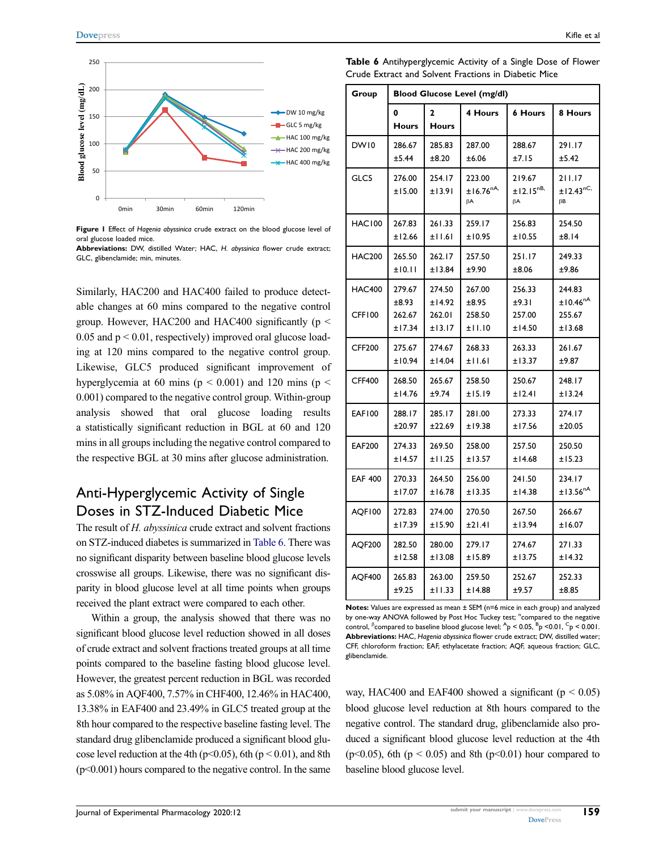<span id="page-8-0"></span>

Figure I Effect of Hagenia abyssinica crude extract on the blood glucose level of oral glucose loaded mice.

Abbreviations: DW, distilled Water; HAC, H. abyssinica flower crude extract; GLC, glibenclamide; min, minutes.

Similarly, HAC200 and HAC400 failed to produce detectable changes at 60 mins compared to the negative control group. However, HAC200 and HAC400 significantly ( $p <$ 0.05 and  $p < 0.01$ , respectively) improved oral glucose loading at 120 mins compared to the negative control group. Likewise, GLC5 produced significant improvement of hyperglycemia at 60 mins ( $p < 0.001$ ) and 120 mins ( $p <$ 0.001) compared to the negative control group. Within-group analysis showed that oral glucose loading results a statistically significant reduction in BGL at 60 and 120 mins in all groups including the negative control compared to the respective BGL at 30 mins after glucose administration.

## Anti-Hyperglycemic Activity of Single Doses in STZ-Induced Diabetic Mice

The result of H. abyssinica crude extract and solvent fractions on STZ-induced diabetes is summarized in [Table 6.](#page-8-1) There was no significant disparity between baseline blood glucose levels crosswise all groups. Likewise, there was no significant disparity in blood glucose level at all time points when groups received the plant extract were compared to each other.

Within a group, the analysis showed that there was no significant blood glucose level reduction showed in all doses of crude extract and solvent fractions treated groups at all time points compared to the baseline fasting blood glucose level. However, the greatest percent reduction in BGL was recorded as 5.08% in AQF400, 7.57% in CHF400, 12.46% in HAC400, 13.38% in EAF400 and 23.49% in GLC5 treated group at the 8th hour compared to the respective baseline fasting level. The standard drug glibenclamide produced a significant blood glucose level reduction at the 4th ( $p<0.05$ ), 6th ( $p<0.01$ ), and 8th  $(p<0.001)$  hours compared to the negative control. In the same

<span id="page-8-1"></span>Table 6 Antihyperglycemic Activity of a Single Dose of Flower Crude Extract and Solvent Fractions in Diabetic Mice

| Group                   | <b>Blood Glucose Level (mg/dl)</b> |                            |                               |                                      |                                          |  |
|-------------------------|------------------------------------|----------------------------|-------------------------------|--------------------------------------|------------------------------------------|--|
|                         | 0<br><b>Hours</b>                  | 2<br><b>Hours</b>          | 4 Hours                       | <b>6 Hours</b>                       | 8 Hours                                  |  |
| DW10                    | 286.67                             | 285.83                     | 287.00                        | 288.67                               | 291.17                                   |  |
|                         | ±5.44                              | ±8.20                      | ±6.06                         | ±7.15                                | ±5.42                                    |  |
| GLC5                    | 276.00<br>±15.00                   | 254.17<br>±13.91           | 223.00<br>$±16.76^{nA}$<br>βA | 219.67<br>±12.15 <sup>nB</sup><br>βA | 211.17<br>±12.43 <sup>nC,</sup><br>βB    |  |
| <b>HAC100</b>           | 267.83                             | 261.33                     | 259.17                        | 256.83                               | 254.50                                   |  |
|                         | ±12.66                             | ±11.61                     | ±10.95                        | ±10.55                               | ±8.14                                    |  |
| <b>HAC200</b>           | 265.50                             | 262.17                     | 257.50                        | 251.17                               | 249.33                                   |  |
|                         | ±10.11                             | ±13.84                     | ±9.90                         | ±8.06                                | ±9.86                                    |  |
| <b>HAC400</b><br>CFF100 | 279.67<br>±8.93<br>262.67          | 274.50<br>±14.92<br>262.01 | 267.00<br>±8.95<br>258.50     | 256.33<br>±9.31<br>257.00            | 244.83<br>±10.46 <sup>nA</sup><br>255.67 |  |
|                         | ±17.34                             | ±13.17                     | ±11.10                        | ±14.50                               | ±13.68                                   |  |
| <b>CFF200</b>           | 275.67                             | 274.67                     | 268.33                        | 263.33                               | 261.67                                   |  |
|                         | ±10.94                             | ±14.04                     | ±11.61                        | ±13.37                               | ±9.87                                    |  |
| <b>CFF400</b>           | 268.50                             | 265.67                     | 258.50                        | 250.67                               | 248.17                                   |  |
|                         | ±14.76                             | ±9.74                      | ±15.19                        | ±12.41                               | ±13.24                                   |  |
| <b>EAF100</b>           | 288.17                             | 285.17                     | 281.00                        | 273.33                               | 274.17                                   |  |
|                         | ±20.97                             | ±22.69                     | ±19.38                        | ±17.56                               | ±20.05                                   |  |
| <b>EAF200</b>           | 274.33                             | 269.50                     | 258.00                        | 257.50                               | 250.50                                   |  |
|                         | ±14.57                             | ±11.25                     | ±13.57                        | ±14.68                               | ±15.23                                   |  |
| <b>EAF 400</b>          | 270.33                             | 264.50                     | 256.00                        | 241.50                               | 234.17                                   |  |
|                         | ±17.07                             | ±16.78                     | ±13.35                        | ±14.38                               | ±13.56 <sup>nA</sup>                     |  |
| AOF100                  | 272.83                             | 274.00                     | 270.50                        | 267.50                               | 266.67                                   |  |
|                         | ±17.39                             | ±15.90                     | $±2$ l.4l                     | ±13.94                               | ±16.07                                   |  |
| AQF200                  | 282.50                             | 280.00                     | 279.17                        | 274.67                               | 271.33                                   |  |
|                         | ±12.58                             | ±13.08                     | ±15.89                        | ±13.75                               | ±14.32                                   |  |
| <b>AOF400</b>           | 265.83                             | 263.00                     | 259.50                        | 252.67                               | 252.33                                   |  |
|                         | ±9.25                              | ±11.33                     | ±14.88                        | ±9.57                                | ±8.85                                    |  |

Notes: Values are expressed as mean ± SEM (n=6 mice in each group) and analyzed by one-way ANOVA followed by Post Hoc Tuckey test; "compared to the negative control,  $\beta$  compared to baseline blood glucose level;  $\beta$  < 0.05,  $\beta$   $\beta$  < 0.01,  $\beta$  < 0.001. Abbreviations: HAC, Hagenia abyssinica flower crude extract: DW, distilled water: CFF, chloroform fraction; EAF, ethylacetate fraction; AQF, aqueous fraction; GLC, glibenclamide.

way, HAC400 and EAF400 showed a significant ( $p < 0.05$ ) blood glucose level reduction at 8th hours compared to the negative control. The standard drug, glibenclamide also produced a significant blood glucose level reduction at the 4th (p<0.05), 6th (p < 0.05) and 8th (p < 0.01) hour compared to baseline blood glucose level.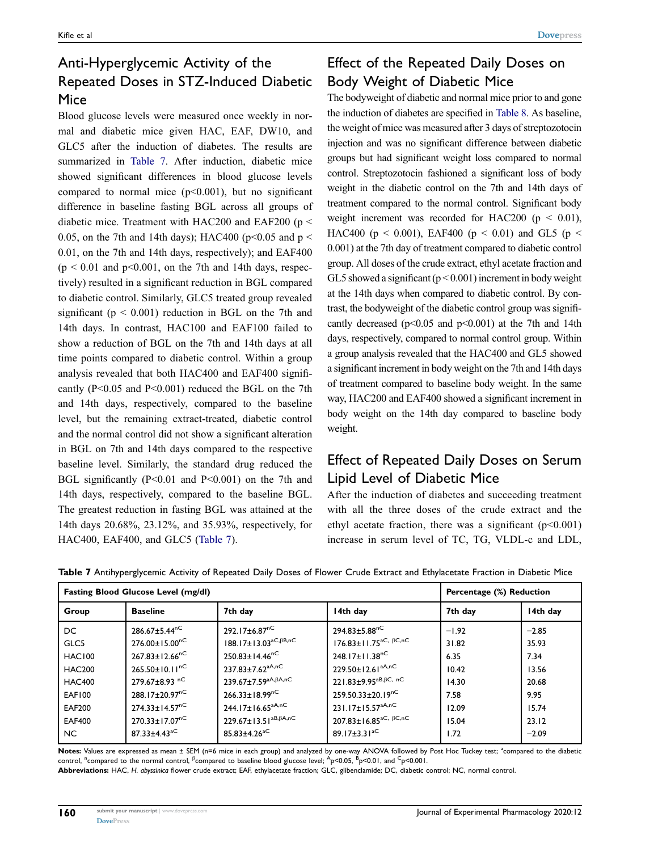# Anti-Hyperglycemic Activity of the Repeated Doses in STZ-Induced Diabetic Mice

Blood glucose levels were measured once weekly in normal and diabetic mice given HAC, EAF, DW10, and GLC5 after the induction of diabetes. The results are summarized in [Table 7](#page-9-0). After induction, diabetic mice showed significant differences in blood glucose levels compared to normal mice  $(p<0.001)$ , but no significant difference in baseline fasting BGL across all groups of diabetic mice. Treatment with HAC200 and EAF200 (p < 0.05, on the 7th and 14th days); HAC400 ( $p$ <0.05 and  $p$  < 0.01, on the 7th and 14th days, respectively); and EAF400  $(p \le 0.01$  and  $p \le 0.001$ , on the 7th and 14th days, respectively) resulted in a significant reduction in BGL compared to diabetic control. Similarly, GLC5 treated group revealed significant ( $p < 0.001$ ) reduction in BGL on the 7th and 14th days. In contrast, HAC100 and EAF100 failed to show a reduction of BGL on the 7th and 14th days at all time points compared to diabetic control. Within a group analysis revealed that both HAC400 and EAF400 significantly (P<0.05 and P<0.001) reduced the BGL on the 7th and 14th days, respectively, compared to the baseline level, but the remaining extract-treated, diabetic control and the normal control did not show a significant alteration in BGL on 7th and 14th days compared to the respective baseline level. Similarly, the standard drug reduced the BGL significantly (P<0.01 and P<0.001) on the 7th and 14th days, respectively, compared to the baseline BGL. The greatest reduction in fasting BGL was attained at the 14th days 20.68%, 23.12%, and 35.93%, respectively, for HAC400, EAF400, and GLC5 ([Table 7](#page-9-0)).

# Effect of the Repeated Daily Doses on Body Weight of Diabetic Mice

The bodyweight of diabetic and normal mice prior to and gone the induction of diabetes are specified in [Table 8.](#page-10-0) As baseline, the weight of mice was measured after 3 days of streptozotocin injection and was no significant difference between diabetic groups but had significant weight loss compared to normal control. Streptozotocin fashioned a significant loss of body weight in the diabetic control on the 7th and 14th days of treatment compared to the normal control. Significant body weight increment was recorded for HAC200 ( $p < 0.01$ ), HAC400 ( $p < 0.001$ ), EAF400 ( $p < 0.01$ ) and GL5 ( $p <$ 0.001) at the 7th day of treatment compared to diabetic control group. All doses of the crude extract, ethyl acetate fraction and GL5 showed a significant ( $p < 0.001$ ) increment in body weight at the 14th days when compared to diabetic control. By contrast, the bodyweight of the diabetic control group was significantly decreased ( $p<0.05$  and  $p<0.001$ ) at the 7th and 14th days, respectively, compared to normal control group. Within a group analysis revealed that the HAC400 and GL5 showed a significant increment in body weight on the 7th and 14th days of treatment compared to baseline body weight. In the same way, HAC200 and EAF400 showed a significant increment in body weight on the 14th day compared to baseline body weight.

## Effect of Repeated Daily Doses on Serum Lipid Level of Diabetic Mice

After the induction of diabetes and succeeding treatment with all the three doses of the crude extract and the ethyl acetate fraction, there was a significant  $(p<0.001)$ increase in serum level of TC, TG, VLDL-c and LDL,

|               | Fasting Blood Glucose Level (mg/dl) | Percentage (%) Reduction                          |                                                           |         |          |
|---------------|-------------------------------------|---------------------------------------------------|-----------------------------------------------------------|---------|----------|
| Group         | <b>Baseline</b>                     | 7th day                                           | 14th day                                                  | 7th day | 14th day |
| DC            | 286.67±5.44 <sup>nC</sup>           | 292.17±6.87 <sup>nC</sup>                         | 294.83±5.88 <sup>nC</sup>                                 | $-1.92$ | $-2.85$  |
| GLC5          | $276.00 \pm 15.00^{nC}$             | $188.17 \pm 13.03^{\text{aC},\beta B, \text{nC}}$ | $176.83 \pm 11.75$ <sup>aC, <math>\beta</math>C, nC</sup> | 31.82   | 35.93    |
| <b>HAC100</b> | $267.83 \pm 12.66^{nC}$             | $250.83 \pm 14.46^{nC}$                           | 248.17±11.38 <sup>nC</sup>                                | 6.35    | 7.34     |
| <b>HAC200</b> | $265.50 \pm 10.11^{nC}$             | $237.83 \pm 7.62$ <sup>aA,nC</sup>                | 229.50±12.61 <sup>aA,nC</sup>                             | 10.42   | 13.56    |
| <b>HAC400</b> | 279.67±8.93 nC                      | $239.67 \pm 7.59^{aA,\beta A, nC}$                | 221.83±9.95 <sup>aB, BC, nC</sup>                         | 14.30   | 20.68    |
| <b>EAF100</b> | 288.17±20.97 <sup>nC</sup>          | $266.33 \pm 18.99^{nC}$                           | 259.50.33±20.19 <sup>nC</sup>                             | 7.58    | 9.95     |
| <b>EAF200</b> | $274.33 \pm 14.57$ <sup>nC</sup>    | $244.17 \pm 16.65^{aA,nC}$                        | 231.17±15.57 <sup>aA,nC</sup>                             | 12.09   | 15.74    |
| <b>EAF400</b> | 270.33±17.07 <sup>nC</sup>          | $229.67 \pm 13.51^{aB,\beta A,nC}$                | $207.83 \pm 16.85$ <sup>aC, <math>\beta</math>C, nC</sup> | 15.04   | 23.12    |
| NC.           | $87.33 \pm 4.43$ <sup>aC</sup>      | $85.83 \pm 4.26$ <sup>aC</sup>                    | $89.17 \pm 3.31^{\text{aC}}$                              | 1.72    | $-2.09$  |

<span id="page-9-0"></span>Table 7 Antihyperglycemic Activity of Repeated Daily Doses of Flower Crude Extract and Ethylacetate Fraction in Diabetic Mice

Notes: Values are expressed as mean ± SEM (n=6 mice in each group) and analyzed by one-way ANOVA followed by Post Hoc Tuckey test; <sup>a</sup>compared to the diabetic control, "compared to the normal control,  $^\beta$ compared to baseline blood glucose level;  $^A$ p<0.05,  $^B$ p<0.01, and  $^C$ p<0.001.

Abbreviations: HAC, H. abyssinica flower crude extract; EAF, ethylacetate fraction; GLC, glibenclamide; DC, diabetic control; NC, normal control.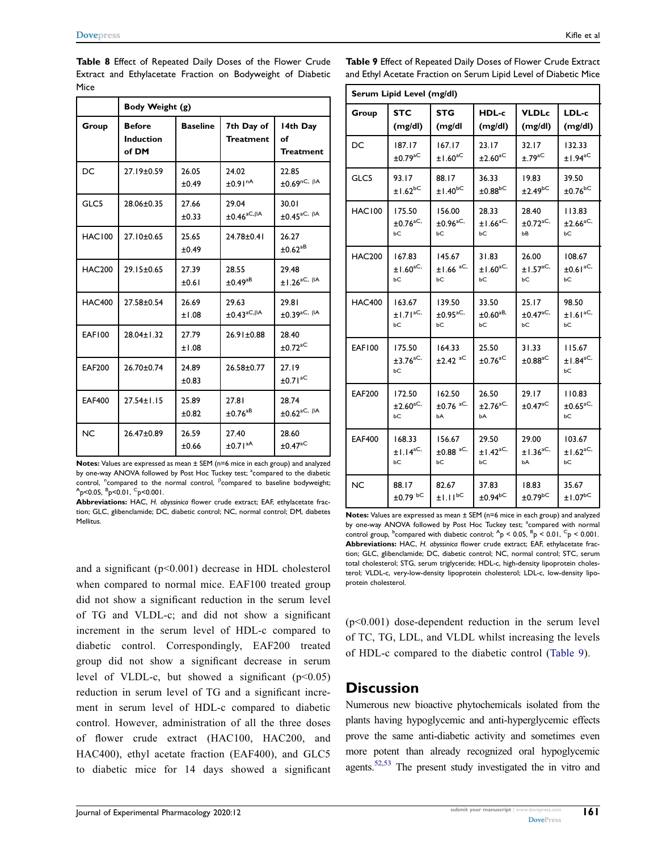<span id="page-10-0"></span>Table 8 Effect of Repeated Daily Doses of the Flower Crude Extract and Ethylacetate Fraction on Bodyweight of Diabetic Mice

|               | Body Weight (g)                            |                 |                                           |                                                 |  |
|---------------|--------------------------------------------|-----------------|-------------------------------------------|-------------------------------------------------|--|
| Group         | <b>Before</b><br><b>Induction</b><br>of DM | <b>Baseline</b> | 7th Day of<br><b>Treatment</b>            | 14th Day<br>of<br><b>Treatment</b>              |  |
| DC            | 27.19±0.59                                 | 26.05<br>±0.49  | 24.02<br>±0.91 <sup>nA</sup>              | 22.85<br>$\pm 0.69$ nC, $\beta$ A               |  |
| GLC5          | 28.06±0.35                                 | 27.66<br>±0.33  | 29.04<br>$\pm 0.46^{\mathrm{aC},\beta A}$ | 30.01<br>$\pm 0.45^{\text{aC}, \beta A}$        |  |
| <b>HAC100</b> | 27.10±0.65                                 | 25.65<br>±0.49  | 24.78±0.41                                | 26.27<br>$\pm$ 0.62 <sup>aB</sup>               |  |
| <b>HAC200</b> | 29.15±0.65                                 | 27.39<br>±0.61  | 28.55<br>±0.49 <sup>aB</sup>              | 29.48<br>$±1.26$ <sup>aC, <math>βA</math></sup> |  |
| <b>HAC400</b> | 27.58±0.54                                 | 26.69<br>±1.08  | 29.63<br>$\pm 0.43^{\text{aC},\beta A}$   | 29.81<br>$\pm 0.39^{\text{aC}, \beta A}$        |  |
| <b>EAF100</b> | $28.04 \pm 1.32$                           | 27.79<br>±1.08  | $26.91 \pm 0.88$                          | 28.40<br>$±0.72$ <sup>aC</sup>                  |  |
| <b>EAF200</b> | 26.70±0.74                                 | 24.89<br>±0.83  | $26.58 + 0.77$                            | 27.19<br>±0.71 <sup>aC</sup>                    |  |
| <b>EAF400</b> | $27.54 \pm 1.15$                           | 25.89<br>±0.82  | 27.81<br>$±0.76$ <sup>aB</sup>            | 28.74<br>$\pm 0.62^{\mathrm{aC}, \beta A}$      |  |
| <b>NC</b>     | 26.47±0.89                                 | 26.59<br>±0.66  | 27.40<br>±0.71 <sup>aA</sup>              | 28.60<br>$±0.47$ <sup>aC</sup>                  |  |

Notes: Values are expressed as mean ± SEM (n=6 mice in each group) and analyzed by one-way ANOVA followed by Post Hoc Tuckey test; <sup>a</sup>compared to the diabetic control, <sup>n</sup>compared to the normal control, <sup>β</sup>compared to baseline bodyweight; <sup>A</sup>p<0.05, <sup>B</sup>p<0.01, <sup>C</sup>p<0.001.

Abbreviations: HAC, H. abyssinica flower crude extract; EAF, ethylacetate fraction; GLC, glibenclamide; DC, diabetic control; NC, normal control; DM, diabetes Mellitus.

and a significant  $(p<0.001)$  decrease in HDL cholesterol when compared to normal mice. EAF100 treated group did not show a significant reduction in the serum level of TG and VLDL-c; and did not show a significant increment in the serum level of HDL-c compared to diabetic control. Correspondingly, EAF200 treated group did not show a significant decrease in serum level of VLDL-c, but showed a significant  $(p<0.05)$ reduction in serum level of TG and a significant increment in serum level of HDL-c compared to diabetic control. However, administration of all the three doses of flower crude extract (HAC100, HAC200, and HAC400), ethyl acetate fraction (EAF400), and GLC5 to diabetic mice for 14 days showed a significant <span id="page-10-1"></span>Table 9 Effect of Repeated Daily Doses of Flower Crude Extract and Ethyl Acetate Fraction on Serum Lipid Level of Diabetic Mice

|               | Serum Lipid Level (mg/dl)                 |                                        |                                          |                                   |                                           |
|---------------|-------------------------------------------|----------------------------------------|------------------------------------------|-----------------------------------|-------------------------------------------|
| Group         | <b>STC</b>                                | <b>STG</b>                             | HDL-c                                    | <b>VLDLc</b>                      | LDL-c                                     |
|               | (mg/dl)                                   | (mg/dl                                 | (mg/dl)                                  | (mg/dl)                           | (mg/dl)                                   |
| DC            | 187.17                                    | 167.17                                 | 23.17                                    | 32.17                             | 132.33                                    |
|               | $±0.79$ <sup>aC</sup>                     | ±1.60 <sup>aC</sup>                    | $\pm 2.60^{\mathrm{aC}}$                 | $±.79^{\mathrm{aC}}$              | $±1.94$ <sup>aC</sup>                     |
| GLC5          | 93.I7                                     | 88.17                                  | 36.33                                    | 19.83                             | 39.50                                     |
|               | $±1.62$ <sup>bC</sup>                     | $±1.40$ <sup>bC</sup>                  | $±0.88$ <sup>bC</sup>                    | $\pm 2.49$ <sup>bC</sup>          | $±0.76$ <sup>bC</sup>                     |
| <b>HAC100</b> | 175.50                                    | 156.00                                 | 28.33                                    | 28.40                             | 113.83                                    |
|               | $\pm 0.76$ <sup>aC,</sup>                 | $\pm 0.96$ <sup>aC,</sup>              | $±1.66$ <sup>aC,</sup>                   | $\pm$ 0.72 <sup>aC,</sup>         | $\pm 2.66^{\text{aC},}$                   |
|               | bС                                        | bС                                     | bС                                       | bВ                                | bС                                        |
| <b>HAC200</b> | 167.83                                    | 145.67                                 | 31.83                                    | 26.00                             | 108.67                                    |
|               | ±1.60 <sup>aC</sup>                       | $±1.66$ <sup>aC,</sup>                 | $±1.60^{aC}$                             | ±1.57 <sup>aC,</sup>              | $\pm 0.61$ <sup>aC,</sup>                 |
|               | bС                                        | bС                                     | bС                                       | bС                                | bС                                        |
| <b>HAC400</b> | 163.67                                    | 139.50                                 | 33.50                                    | 25.17                             | 98.50                                     |
|               | ±1.71 <sup>aC</sup>                       | $\pm$ 0.95 <sup>aC,</sup>              | $\pm 0.60$ <sup>aB,</sup>                | $\pm 0.47^{\mathrm{aC},}$         | ±1.61 <sup>aC</sup>                       |
|               | bС                                        | bС                                     | bС                                       | bС                                | bС                                        |
| <b>EAF100</b> | 175.50<br>$\pm 3.76$ <sup>aC,</sup><br>bС | 164.33<br>$±2.42$ <sup>aC</sup>        | 25.50<br>$±0.76$ <sup>aC</sup>           | 31.33<br>$\pm 0.88^{\mathrm{aC}}$ | 115.67<br>$±1.84^{\mathrm{aC},}$<br>bС    |
| <b>EAF200</b> | 172.50<br>$\pm 2.60^{\mathrm{aC},}$<br>bС | 162.50<br>$±0.76$ <sup>aC,</sup><br>bА | 26.50<br>$\pm 2.76$ <sup>aC,</sup><br>bА | 29.17<br>$±0.47$ <sup>aC</sup>    | 110.83<br>$\pm 0.65$ <sup>aC,</sup><br>bС |
| <b>EAF400</b> | 168.33                                    | 156.67                                 | 29.50                                    | 29.00                             | 103.67                                    |
|               | $±1.14$ <sup>aC,</sup>                    | $±0.88$ <sup>aC,</sup>                 | $±1.42$ <sup>aC,</sup>                   | $±1.36$ <sup>aC,</sup>            | $±1.62$ <sup>aC,</sup>                    |
|               | bС                                        | bС                                     | bС                                       | bА                                | bС                                        |
| <b>NC</b>     | 88.17                                     | 82.67                                  | 37.83                                    | 18.83                             | 35.67                                     |
|               | $±0.79$ bC                                | $±1.11^{bC}$                           | $\pm 0.94$ <sub>bC</sub>                 | $\pm$ 0.79 <sup>bC</sup>          | $±1.07$ <sup>bC</sup>                     |

Notes: Values are expressed as mean ± SEM (n=6 mice in each group) and analyzed by one-way ANOVA followed by Post Hoc Tuckey test; <sup>a</sup>compared with normal control group, <sup>b</sup>compared with diabetic control;  $^{A}p$  < 0.05,  $^{B}p$  < 0.01,  $^{C}p$  < 0.001. Abbreviations: HAC, H. abyssinica flower crude extract; EAF, ethylacetate fraction; GLC, glibenclamide; DC, diabetic control; NC, normal control; STC, serum total cholesterol; STG, serum triglyceride; HDL-c, high-density lipoprotein cholesterol; VLDL-c, very-low-density lipoprotein cholesterol; LDL-c, low-density lipoprotein cholesterol.

(p<0.001) dose-dependent reduction in the serum level of TC, TG, LDL, and VLDL whilst increasing the levels of HDL-c compared to the diabetic control ([Table 9\)](#page-10-1).

#### **Discussion**

<span id="page-10-2"></span>Numerous new bioactive phytochemicals isolated from the plants having hypoglycemic and anti-hyperglycemic effects prove the same anti-diabetic activity and sometimes even more potent than already recognized oral hypoglycemic agents.<sup>52[,53](#page-15-18)</sup> The present study investigated the in vitro and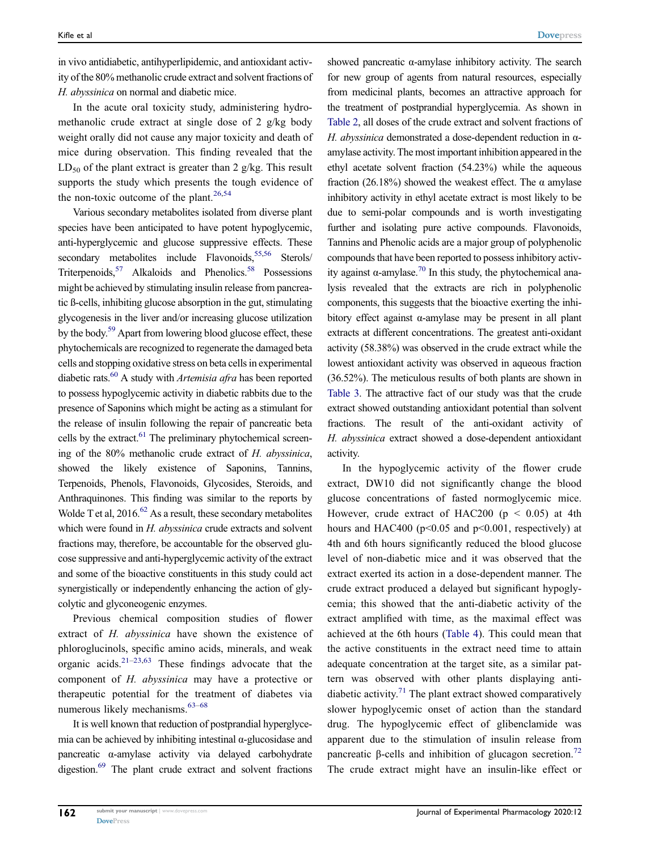in vivo antidiabetic, antihyperlipidemic, and antioxidant activity of the 80% methanolic crude extract and solvent fractions of H. abyssinica on normal and diabetic mice.

In the acute oral toxicity study, administering hydromethanolic crude extract at single dose of 2 g/kg body weight orally did not cause any major toxicity and death of mice during observation. This finding revealed that the  $LD_{50}$  of the plant extract is greater than 2 g/kg. This result supports the study which presents the tough evidence of the non-toxic outcome of the plant. $26,54$  $26,54$  $26,54$ 

<span id="page-11-4"></span><span id="page-11-3"></span><span id="page-11-2"></span><span id="page-11-1"></span><span id="page-11-0"></span>Various secondary metabolites isolated from diverse plant species have been anticipated to have potent hypoglycemic, anti-hyperglycemic and glucose suppressive effects. These secondary metabolites include Flavonoids,<sup>[55](#page-15-20)[,56](#page-15-21)</sup> Sterols/ Triterpenoids,<sup>57</sup> Alkaloids and Phenolics.<sup>58</sup> Possessions might be achieved by stimulating insulin release from pancreatic ß-cells, inhibiting glucose absorption in the gut, stimulating glycogenesis in the liver and/or increasing glucose utilization by the body.<sup>59</sup> Apart from lowering blood glucose effect, these phytochemicals are recognized to regenerate the damaged beta cells and stopping oxidative stress on beta cells in experimental diabetic rats. $60$  A study with *Artemisia afra* has been reported to possess hypoglycemic activity in diabetic rabbits due to the presence of Saponins which might be acting as a stimulant for the release of insulin following the repair of pancreatic beta cells by the extract. $61$  The preliminary phytochemical screening of the 80% methanolic crude extract of H. abyssinica, showed the likely existence of Saponins, Tannins, Terpenoids, Phenols, Flavonoids, Glycosides, Steroids, and Anthraquinones. This finding was similar to the reports by Wolde T et al,  $2016^{62}$  As a result, these secondary metabolites which were found in H. abyssinica crude extracts and solvent fractions may, therefore, be accountable for the observed glucose suppressive and anti-hyperglycemic activity of the extract and some of the bioactive constituents in this study could act synergistically or independently enhancing the action of glycolytic and glyconeogenic enzymes.

<span id="page-11-6"></span><span id="page-11-5"></span>Previous chemical composition studies of flower extract of H. abyssinica have shown the existence of phloroglucinols, specific amino acids, minerals, and weak organic acids.<sup>21–[23,](#page-14-18)[63](#page-15-28)</sup> These findings advocate that the component of H. abyssinica may have a protective or therapeutic potential for the treatment of diabetes via numerous likely mechanisms.<sup>[63](#page-15-28)-[68](#page-15-29)</sup>

<span id="page-11-11"></span><span id="page-11-8"></span><span id="page-11-7"></span>It is well known that reduction of postprandial hyperglycemia can be achieved by inhibiting intestinal α-glucosidase and pancreatic α-amylase activity via delayed carbohydrate digestion.<sup>69</sup> The plant crude extract and solvent fractions

showed pancreatic α-amylase inhibitory activity. The search for new group of agents from natural resources, especially from medicinal plants, becomes an attractive approach for the treatment of postprandial hyperglycemia. As shown in [Table 2](#page-6-0), all doses of the crude extract and solvent fractions of H. abyssinica demonstrated a dose-dependent reduction in  $\alpha$ amylase activity. The most important inhibition appeared in the ethyl acetate solvent fraction (54.23%) while the aqueous fraction (26.18%) showed the weakest effect. The  $\alpha$  amylase inhibitory activity in ethyl acetate extract is most likely to be due to semi-polar compounds and is worth investigating further and isolating pure active compounds. Flavonoids, Tannins and Phenolic acids are a major group of polyphenolic compounds that have been reported to possess inhibitory activity against α-amylase.<sup>70</sup> In this study, the phytochemical analysis revealed that the extracts are rich in polyphenolic components, this suggests that the bioactive exerting the inhibitory effect against α-amylase may be present in all plant extracts at different concentrations. The greatest anti-oxidant activity (58.38%) was observed in the crude extract while the lowest antioxidant activity was observed in aqueous fraction (36.52%). The meticulous results of both plants are shown in [Table 3](#page-6-1). The attractive fact of our study was that the crude extract showed outstanding antioxidant potential than solvent fractions. The result of the anti-oxidant activity of H. abyssinica extract showed a dose-dependent antioxidant activity.

<span id="page-11-10"></span><span id="page-11-9"></span>In the hypoglycemic activity of the flower crude extract, DW10 did not significantly change the blood glucose concentrations of fasted normoglycemic mice. However, crude extract of HAC200 ( $p < 0.05$ ) at 4th hours and HAC400 ( $p<0.05$  and  $p<0.001$ , respectively) at 4th and 6th hours significantly reduced the blood glucose level of non-diabetic mice and it was observed that the extract exerted its action in a dose-dependent manner. The crude extract produced a delayed but significant hypoglycemia; this showed that the anti-diabetic activity of the extract amplified with time, as the maximal effect was achieved at the 6th hours ([Table 4](#page-7-0)). This could mean that the active constituents in the extract need time to attain adequate concentration at the target site, as a similar pattern was observed with other plants displaying anti-diabetic activity.<sup>[71](#page-15-32)</sup> The plant extract showed comparatively slower hypoglycemic onset of action than the standard drug. The hypoglycemic effect of glibenclamide was apparent due to the stimulation of insulin release from pancreatic β-cells and inhibition of glucagon secretion.<sup>[72](#page-16-0)</sup> The crude extract might have an insulin-like effect or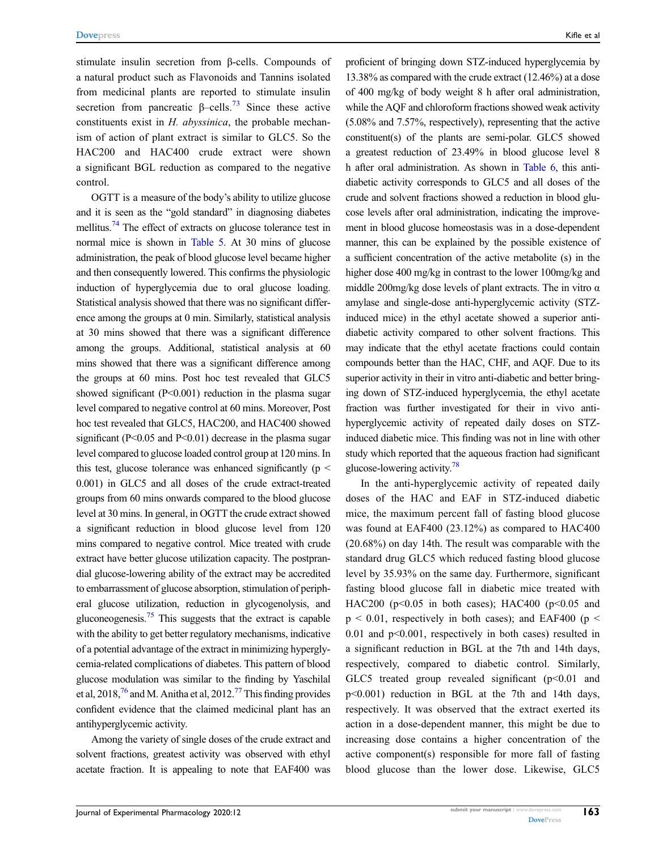<span id="page-12-0"></span>stimulate insulin secretion from β-cells. Compounds of a natural product such as Flavonoids and Tannins isolated from medicinal plants are reported to stimulate insulin secretion from pancreatic  $\beta$ –cells.<sup>[73](#page-16-1)</sup> Since these active constituents exist in H. abyssinica, the probable mechanism of action of plant extract is similar to GLC5. So the HAC200 and HAC400 crude extract were shown a significant BGL reduction as compared to the negative control.

<span id="page-12-1"></span>OGTT is a measure of the body's ability to utilize glucose and it is seen as the "gold standard" in diagnosing diabetes mellitus.<sup>74</sup> The effect of extracts on glucose tolerance test in normal mice is shown in [Table 5](#page-7-1). At 30 mins of glucose administration, the peak of blood glucose level became higher and then consequently lowered. This confirms the physiologic induction of hyperglycemia due to oral glucose loading. Statistical analysis showed that there was no significant difference among the groups at 0 min. Similarly, statistical analysis at 30 mins showed that there was a significant difference among the groups. Additional, statistical analysis at 60 mins showed that there was a significant difference among the groups at 60 mins. Post hoc test revealed that GLC5 showed significant (P<0.001) reduction in the plasma sugar level compared to negative control at 60 mins. Moreover, Post hoc test revealed that GLC5, HAC200, and HAC400 showed significant (P<0.05 and P<0.01) decrease in the plasma sugar level compared to glucose loaded control group at 120 mins. In this test, glucose tolerance was enhanced significantly ( $p \le$ 0.001) in GLC5 and all doses of the crude extract-treated groups from 60 mins onwards compared to the blood glucose level at 30 mins. In general, in OGTT the crude extract showed a significant reduction in blood glucose level from 120 mins compared to negative control. Mice treated with crude extract have better glucose utilization capacity. The postprandial glucose-lowering ability of the extract may be accredited to embarrassment of glucose absorption, stimulation of peripheral glucose utilization, reduction in glycogenolysis, and gluconeogenesis.<sup>75</sup> This suggests that the extract is capable with the ability to get better regulatory mechanisms, indicative of a potential advantage of the extract in minimizing hyperglycemia-related complications of diabetes. This pattern of blood glucose modulation was similar to the finding by Yaschilal et al, 2018,  $^{76}$  and M. Anitha et al, 2012.<sup>77</sup> This finding provides confident evidence that the claimed medicinal plant has an antihyperglycemic activity.

<span id="page-12-3"></span><span id="page-12-2"></span>Among the variety of single doses of the crude extract and solvent fractions, greatest activity was observed with ethyl acetate fraction. It is appealing to note that EAF400 was proficient of bringing down STZ-induced hyperglycemia by 13.38% as compared with the crude extract (12.46%) at a dose of 400 mg/kg of body weight 8 h after oral administration, while the AQF and chloroform fractions showed weak activity (5.08% and 7.57%, respectively), representing that the active constituent(s) of the plants are semi-polar. GLC5 showed a greatest reduction of 23.49% in blood glucose level 8 h after oral administration. As shown in [Table 6,](#page-8-1) this antidiabetic activity corresponds to GLC5 and all doses of the crude and solvent fractions showed a reduction in blood glucose levels after oral administration, indicating the improvement in blood glucose homeostasis was in a dose-dependent manner, this can be explained by the possible existence of a sufficient concentration of the active metabolite (s) in the higher dose 400 mg/kg in contrast to the lower 100mg/kg and middle 200mg/kg dose levels of plant extracts. The in vitro  $\alpha$ amylase and single-dose anti-hyperglycemic activity (STZinduced mice) in the ethyl acetate showed a superior antidiabetic activity compared to other solvent fractions. This may indicate that the ethyl acetate fractions could contain compounds better than the HAC, CHF, and AQF. Due to its superior activity in their in vitro anti-diabetic and better bringing down of STZ-induced hyperglycemia, the ethyl acetate fraction was further investigated for their in vivo antihyperglycemic activity of repeated daily doses on STZinduced diabetic mice. This finding was not in line with other study which reported that the aqueous fraction had significant glucose-lowering activity[.78](#page-16-6)

<span id="page-12-4"></span>In the anti-hyperglycemic activity of repeated daily doses of the HAC and EAF in STZ-induced diabetic mice, the maximum percent fall of fasting blood glucose was found at EAF400 (23.12%) as compared to HAC400 (20.68%) on day 14th. The result was comparable with the standard drug GLC5 which reduced fasting blood glucose level by 35.93% on the same day. Furthermore, significant fasting blood glucose fall in diabetic mice treated with HAC200 ( $p<0.05$  in both cases); HAC400 ( $p<0.05$  and  $p \le 0.01$ , respectively in both cases); and EAF400 ( $p \le$ 0.01 and p<0.001, respectively in both cases) resulted in a significant reduction in BGL at the 7th and 14th days, respectively, compared to diabetic control. Similarly, GLC5 treated group revealed significant  $(p<0.01$  and p<0.001) reduction in BGL at the 7th and 14th days, respectively. It was observed that the extract exerted its action in a dose-dependent manner, this might be due to increasing dose contains a higher concentration of the active component(s) responsible for more fall of fasting blood glucose than the lower dose. Likewise, GLC5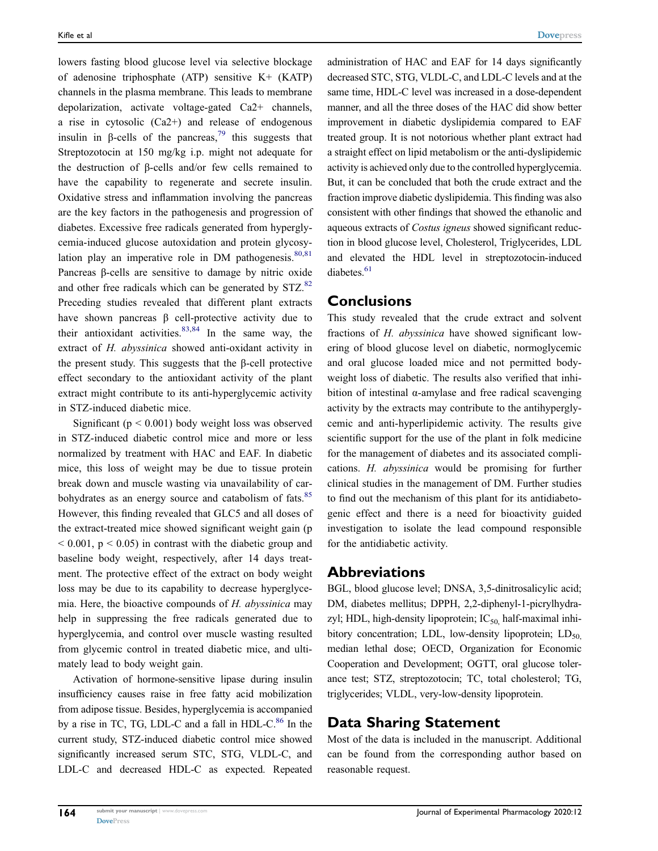<span id="page-13-0"></span>lowers fasting blood glucose level via selective blockage of adenosine triphosphate (ATP) sensitive K+ (KATP) channels in the plasma membrane. This leads to membrane depolarization, activate voltage-gated Ca2+ channels, a rise in cytosolic (Ca2+) and release of endogenous insulin in β-cells of the pancreas,<sup>[79](#page-16-7)</sup> this suggests that Streptozotocin at 150 mg/kg i.p. might not adequate for the destruction of β-cells and/or few cells remained to have the capability to regenerate and secrete insulin. Oxidative stress and inflammation involving the pancreas are the key factors in the pathogenesis and progression of diabetes. Excessive free radicals generated from hyperglycemia-induced glucose autoxidation and protein glycosylation play an imperative role in DM pathogenesis. $80,81$  $80,81$ Pancreas β-cells are sensitive to damage by nitric oxide and other free radicals which can be generated by STZ.<sup>82</sup> Preceding studies revealed that different plant extracts have shown pancreas β cell-protective activity due to their antioxidant activities. $83,84$  $83,84$  In the same way, the extract of H. abyssinica showed anti-oxidant activity in the present study. This suggests that the β-cell protective effect secondary to the antioxidant activity of the plant extract might contribute to its anti-hyperglycemic activity in STZ-induced diabetic mice.

<span id="page-13-4"></span><span id="page-13-3"></span><span id="page-13-2"></span><span id="page-13-1"></span>Significant ( $p < 0.001$ ) body weight loss was observed in STZ-induced diabetic control mice and more or less normalized by treatment with HAC and EAF. In diabetic mice, this loss of weight may be due to tissue protein break down and muscle wasting via unavailability of carbohydrates as an energy source and catabolism of fats.<sup>85</sup> However, this finding revealed that GLC5 and all doses of the extract-treated mice showed significant weight gain (p  $< 0.001$ ,  $p < 0.05$ ) in contrast with the diabetic group and baseline body weight, respectively, after 14 days treatment. The protective effect of the extract on body weight loss may be due to its capability to decrease hyperglycemia. Here, the bioactive compounds of H. abyssinica may help in suppressing the free radicals generated due to hyperglycemia, and control over muscle wasting resulted from glycemic control in treated diabetic mice, and ultimately lead to body weight gain.

<span id="page-13-5"></span>Activation of hormone-sensitive lipase during insulin insufficiency causes raise in free fatty acid mobilization from adipose tissue. Besides, hyperglycemia is accompanied by a rise in TC, TG, LDL-C and a fall in  $HDL-C$ .<sup>[86](#page-16-14)</sup> In the current study, STZ-induced diabetic control mice showed significantly increased serum STC, STG, VLDL-C, and LDL-C and decreased HDL-C as expected. Repeated administration of HAC and EAF for 14 days significantly decreased STC, STG, VLDL-C, and LDL-C levels and at the same time, HDL-C level was increased in a dose-dependent manner, and all the three doses of the HAC did show better improvement in diabetic dyslipidemia compared to EAF treated group. It is not notorious whether plant extract had a straight effect on lipid metabolism or the anti-dyslipidemic activity is achieved only due to the controlled hyperglycemia. But, it can be concluded that both the crude extract and the fraction improve diabetic dyslipidemia. This finding was also consistent with other findings that showed the ethanolic and aqueous extracts of Costus igneus showed significant reduction in blood glucose level, Cholesterol, Triglycerides, LDL and elevated the HDL level in streptozotocin-induced diabetes.<sup>61</sup>

#### **Conclusions**

This study revealed that the crude extract and solvent fractions of H. abyssinica have showed significant lowering of blood glucose level on diabetic, normoglycemic and oral glucose loaded mice and not permitted bodyweight loss of diabetic. The results also verified that inhibition of intestinal α-amylase and free radical scavenging activity by the extracts may contribute to the antihyperglycemic and anti-hyperlipidemic activity. The results give scientific support for the use of the plant in folk medicine for the management of diabetes and its associated complications. H. abyssinica would be promising for further clinical studies in the management of DM. Further studies to find out the mechanism of this plant for its antidiabetogenic effect and there is a need for bioactivity guided investigation to isolate the lead compound responsible for the antidiabetic activity.

#### Abbreviations

BGL, blood glucose level; DNSA, 3,5-dinitrosalicylic acid; DM, diabetes mellitus; DPPH, 2,2-diphenyl-1-picrylhydrazyl; HDL, high-density lipoprotein;  $IC_{50}$ , half-maximal inhibitory concentration; LDL, low-density lipoprotein;  $LD_{50}$ , median lethal dose; OECD, Organization for Economic Cooperation and Development; OGTT, oral glucose tolerance test; STZ, streptozotocin; TC, total cholesterol; TG, triglycerides; VLDL, very-low-density lipoprotein.

## Data Sharing Statement

Most of the data is included in the manuscript. Additional can be found from the corresponding author based on reasonable request.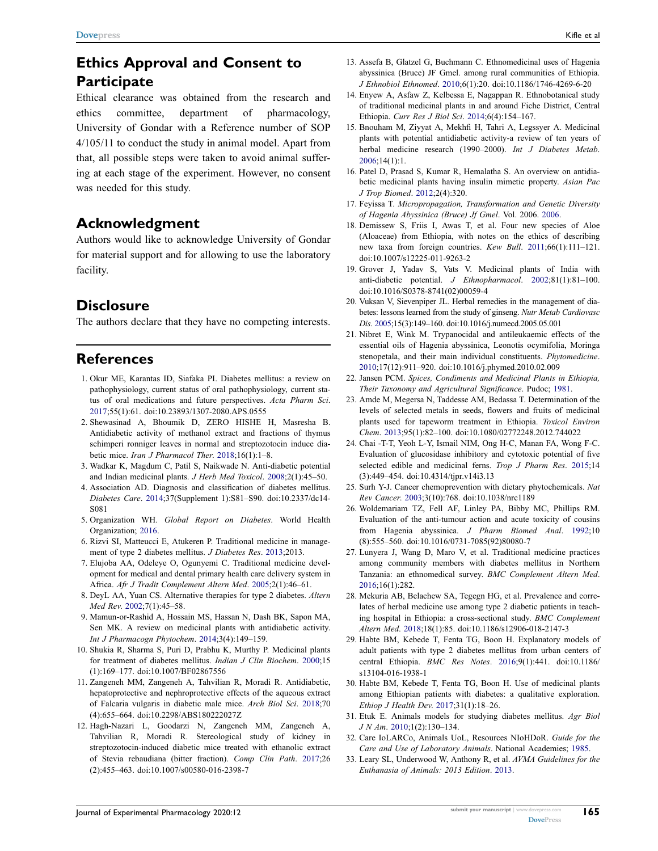## Ethics Approval and Consent to **Participate**

Ethical clearance was obtained from the research and ethics committee, department of pharmacology, University of Gondar with a Reference number of SOP 4/105/11 to conduct the study in animal model. Apart from that, all possible steps were taken to avoid animal suffering at each stage of the experiment. However, no consent was needed for this study.

## Acknowledgment

Authors would like to acknowledge University of Gondar for material support and for allowing to use the laboratory facility.

## **Disclosure**

The authors declare that they have no competing interests.

## References

- <span id="page-14-0"></span>1. Okur ME, Karantas ID, Siafaka PI. Diabetes mellitus: a review on pathophysiology, current status of oral pathophysiology, current status of oral medications and future perspectives. Acta Pharm Sci. [2017;](#page-1-0)55(1):61. doi:[10.23893/1307-2080.APS.0555](https://doi.org/10.23893/1307-2080.APS.0555)
- 2. Shewasinad A, Bhoumik D, ZERO HISHE H, Masresha B. Antidiabetic activity of methanol extract and fractions of thymus schimperi ronniger leaves in normal and streptozotocin induce diabetic mice. Iran J Pharmacol Ther. 2018;16(1):1-8.
- <span id="page-14-1"></span>3. Wadkar K, Magdum C, Patil S, Naikwade N. Anti-diabetic potential and Indian medicinal plants. J Herb Med Toxicol. [2008;](#page-1-0)2(1):45–50.
- <span id="page-14-2"></span>4. Association AD. Diagnosis and classification of diabetes mellitus. Diabetes Care. [2014;](#page-1-1)37(Supplement 1):S81–S90. doi:[10.2337/dc14-](https://doi.org/10.2337/dc14-S081) [S081](https://doi.org/10.2337/dc14-S081)
- <span id="page-14-3"></span>5. Organization WH. Global Report on Diabetes. World Health Organization; [2016](#page-1-2).
- <span id="page-14-4"></span>6. Rizvi SI, Matteucci E, Atukeren P. Traditional medicine in management of type 2 diabetes mellitus. J Diabetes Res. [2013](#page-1-3);2013.
- <span id="page-14-5"></span>7. Elujoba AA, Odeleye O, Ogunyemi C. Traditional medicine development for medical and dental primary health care delivery system in Africa. Afr J Tradit Complement Altern Med. [2005;](#page-1-4)2(1):46–61.
- <span id="page-14-6"></span>8. DeyL AA, Yuan CS. Alternative therapies for type 2 diabetes. Altern Med Rev. [2002;](#page-1-5)7(1):45–58.
- <span id="page-14-7"></span>9. Mamun-or-Rashid A, Hossain MS, Hassan N, Dash BK, Sapon MA, Sen MK. A review on medicinal plants with antidiabetic activity. Int J Pharmacogn Phytochem. [2014;](#page-1-6)3(4):149–159.
- 10. Shukia R, Sharma S, Puri D, Prabhu K, Murthy P. Medicinal plants for treatment of diabetes mellitus. Indian J Clin Biochem. 2000;15 (1):169–177. doi:[10.1007/BF02867556](https://doi.org/10.1007/BF02867556)
- 11. Zangeneh MM, Zangeneh A, Tahvilian R, Moradi R. Antidiabetic, hepatoprotective and nephroprotective effects of the aqueous extract of Falcaria vulgaris in diabetic male mice. Arch Biol Sci. 2018;70 (4):655–664. doi:[10.2298/ABS180222027Z](https://doi.org/10.2298/ABS180222027Z)
- <span id="page-14-8"></span>12. Hagh-Nazari L, Goodarzi N, Zangeneh MM, Zangeneh A, Tahvilian R, Moradi R. Stereological study of kidney in streptozotocin-induced diabetic mice treated with ethanolic extract of Stevia rebaudiana (bitter fraction). Comp Clin Path. [2017](#page-1-6);26 (2):455–463. doi:[10.1007/s00580-016-2398-7](https://doi.org/10.1007/s00580-016-2398-7)
- <span id="page-14-9"></span>13. Assefa B, Glatzel G, Buchmann C. Ethnomedicinal uses of Hagenia abyssinica (Bruce) JF Gmel. among rural communities of Ethiopia. J Ethnobiol Ethnomed. [2010;](#page-1-7)6(1):20. doi:[10.1186/1746-4269-6-20](https://doi.org/10.1186/1746-4269-6-20)
- <span id="page-14-10"></span>14. Enyew A, Asfaw Z, Kelbessa E, Nagappan R. Ethnobotanical study of traditional medicinal plants in and around Fiche District, Central Ethiopia. Curr Res J Biol Sci. [2014](#page-1-7);6(4):154–167.
- <span id="page-14-11"></span>15. Bnouham M, Ziyyat A, Mekhfi H, Tahri A, Legssyer A. Medicinal plants with potential antidiabetic activity-a review of ten years of herbal medicine research (1990–2000). Int J Diabetes Metab. [2006](#page-1-8);14(1):1.
- <span id="page-14-12"></span>16. Patel D, Prasad S, Kumar R, Hemalatha S. An overview on antidiabetic medicinal plants having insulin mimetic property. Asian Pac J Trop Biomed. [2012](#page-1-8);2(4):320.
- <span id="page-14-13"></span>17. Feyissa T. Micropropagation, Transformation and Genetic Diversity of Hagenia Abyssinica (Bruce) Jf Gmel. Vol. 2006. [2006](#page-1-9).
- <span id="page-14-14"></span>18. Demissew S, Friis I, Awas T, et al. Four new species of Aloe (Aloaceae) from Ethiopia, with notes on the ethics of describing new taxa from foreign countries. Kew Bull. [2011](#page-1-10);66(1):111–121. doi:[10.1007/s12225-011-9263-2](https://doi.org/10.1007/s12225-011-9263-2)
- 19. Grover J, Yadav S, Vats V. Medicinal plants of India with anti-diabetic potential. J Ethnopharmacol. 2002;81(1):81–100. doi:[10.1016/S0378-8741\(02\)00059-4](https://doi.org/10.1016/S0378-8741(02)00059-4)
- <span id="page-14-15"></span>20. Vuksan V, Sievenpiper JL. Herbal remedies in the management of diabetes: lessons learned from the study of ginseng. Nutr Metab Cardiovasc Dis. [2005](#page-1-10);15(3):149–160. doi:[10.1016/j.numecd.2005.05.001](https://doi.org/10.1016/j.numecd.2005.05.001)
- <span id="page-14-16"></span>21. Nibret E, Wink M. Trypanocidal and antileukaemic effects of the essential oils of Hagenia abyssinica, Leonotis ocymifolia, Moringa stenopetala, and their main individual constituents. Phytomedicine. [2010](#page-1-11);17(12):911–920. doi:[10.1016/j.phymed.2010.02.009](https://doi.org/10.1016/j.phymed.2010.02.009)
- <span id="page-14-17"></span>22. Jansen PCM. Spices, Condiments and Medicinal Plants in Ethiopia, Their Taxonomy and Agricultural Significance. Pudoc; [1981](#page-1-12).
- <span id="page-14-18"></span>23. Amde M, Megersa N, Taddesse AM, Bedassa T. Determination of the levels of selected metals in seeds, flowers and fruits of medicinal plants used for tapeworm treatment in Ethiopia. Toxicol Environ Chem. [2013;](#page-1-13)95(1):82–100. doi:[10.1080/02772248.2012.744022](https://doi.org/10.1080/02772248.2012.744022)
- <span id="page-14-19"></span>24. Chai -T-T, Yeoh L-Y, Ismail NIM, Ong H-C, Manan FA, Wong F-C. Evaluation of glucosidase inhibitory and cytotoxic potential of five selected edible and medicinal ferns. Trop J Pharm Res. [2015](#page-1-14);14 (3):449–454. doi:[10.4314/tjpr.v14i3.13](https://doi.org/10.4314/tjpr.v14i3.13)
- <span id="page-14-20"></span>25. Surh Y-J. Cancer chemoprevention with dietary phytochemicals. Nat Rev Cancer. [2003;](#page-1-14)3(10):768. doi:[10.1038/nrc1189](https://doi.org/10.1038/nrc1189)
- <span id="page-14-21"></span>26. Woldemariam TZ, Fell AF, Linley PA, Bibby MC, Phillips RM. Evaluation of the anti-tumour action and acute toxicity of cousins from Hagenia abyssinica. J Pharm Biomed Anal. [1992](#page-1-11);10 (8):555–560. doi:[10.1016/0731-7085\(92\)80080-7](https://doi.org/10.1016/0731-7085(92)80080-7)
- <span id="page-14-22"></span>27. Lunyera J, Wang D, Maro V, et al. Traditional medicine practices among community members with diabetes mellitus in Northern Tanzania: an ethnomedical survey. BMC Complement Altern Med. [2016](#page-1-15);16(1):282.
- 28. Mekuria AB, Belachew SA, Tegegn HG, et al. Prevalence and correlates of herbal medicine use among type 2 diabetic patients in teaching hospital in Ethiopia: a cross-sectional study. BMC Complement Altern Med. 2018;18(1):85. doi:[10.1186/s12906-018-2147-3](https://doi.org/10.1186/s12906-018-2147-3)
- <span id="page-14-27"></span>29. Habte BM, Kebede T, Fenta TG, Boon H. Explanatory models of adult patients with type 2 diabetes mellitus from urban centers of central Ethiopia. BMC Res Notes. [2016](#page-3-0);9(1):441. doi:[10.1186/](https://doi.org/10.1186/s13104-016-1938-1) [s13104-016-1938-1](https://doi.org/10.1186/s13104-016-1938-1)
- <span id="page-14-23"></span>30. Habte BM, Kebede T, Fenta TG, Boon H. Use of medicinal plants among Ethiopian patients with diabetes: a qualitative exploration. Ethiop J Health Dev. [2017](#page-1-15);31(1):18–26.
- <span id="page-14-24"></span>31. Etuk E. Animals models for studying diabetes mellitus. Agr Biol J N Am. [2010;](#page-2-0)1(2):130–134.
- <span id="page-14-25"></span>32. Care IoLARCo, Animals UoL, Resources NIoHDoR. Guide for the Care and Use of Laboratory Animals. National Academies; [1985.](#page-2-1)
- <span id="page-14-26"></span>33. Leary SL, Underwood W, Anthony R, et al. AVMA Guidelines for the Euthanasia of Animals: 2013 Edition. [2013.](#page-2-2)

165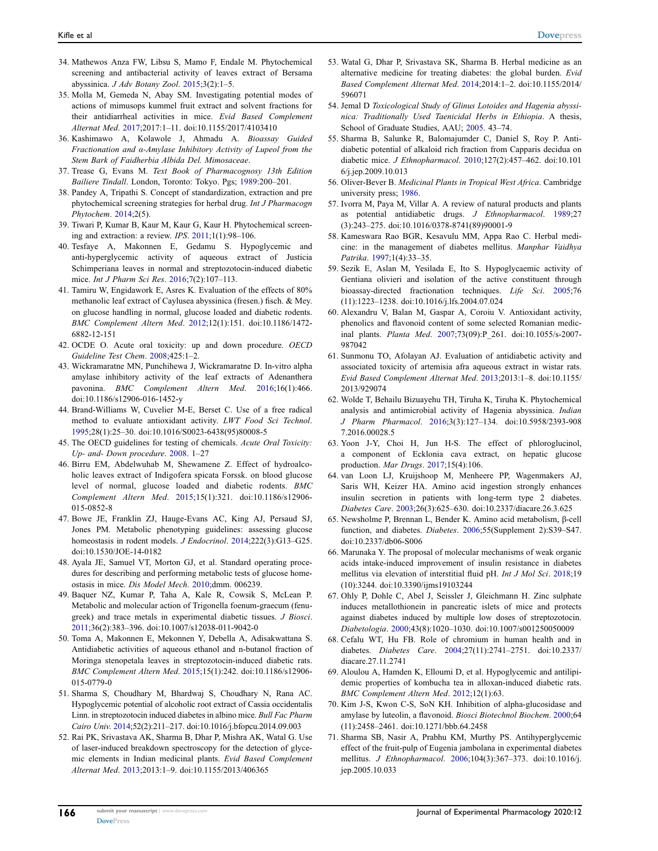- <span id="page-15-0"></span>34. Mathewos Anza FW, Libsu S, Mamo F, Endale M. Phytochemical screening and antibacterial activity of leaves extract of Bersama abyssinica. J Adv Botany Zool. [2015;](#page-2-3)3(2):1–5.
- <span id="page-15-1"></span>35. Molla M, Gemeda N, Abay SM. Investigating potential modes of actions of mimusops kummel fruit extract and solvent fractions for their antidiarrheal activities in mice. Evid Based Complement Alternat Med. [2017](#page-2-4);2017:1–11. doi:[10.1155/2017/4103410](https://doi.org/10.1155/2017/4103410)
- <span id="page-15-2"></span>36. Kashimawo A, Kolawole J, Ahmadu A. Bioassay Guided Fractionation and α-Amylase Inhibitory Activity of Lupeol from the Stem Bark of Faidherbia Albida Del. Mimosaceae.
- <span id="page-15-3"></span>37. Trease G, Evans M. Text Book of Pharmacognosy 13th Edition Bailiere Tindall. London, Toronto: Tokyo. Pgs; [1989](#page-3-1):200–201.
- 38. Pandey A, Tripathi S. Concept of standardization, extraction and pre phytochemical screening strategies for herbal drug. Int J Pharmacogn Phytochem. 2014;2(5).
- <span id="page-15-4"></span>39. Tiwari P, Kumar B, Kaur M, Kaur G, Kaur H. Phytochemical screening and extraction: a review. IPS. [2011;](#page-3-1)1(1):98–106.
- <span id="page-15-5"></span>40. Tesfaye A, Makonnen E, Gedamu S. Hypoglycemic and anti-hyperglycemic activity of aqueous extract of Justicia Schimperiana leaves in normal and streptozotocin-induced diabetic mice. Int J Pharm Sci Res. [2016;](#page-3-2)7(2):107–113.
- <span id="page-15-6"></span>41. Tamiru W, Engidawork E, Asres K. Evaluation of the effects of 80% methanolic leaf extract of Caylusea abyssinica (fresen.) fisch. & Mey. on glucose handling in normal, glucose loaded and diabetic rodents. BMC Complement Altern Med. [2012;](#page-3-2)12(1):151. doi:[10.1186/1472-](https://doi.org/10.1186/1472-6882-12-151) [6882-12-151](https://doi.org/10.1186/1472-6882-12-151)
- <span id="page-15-7"></span>42. OCDE O. Acute oral toxicity: up and down procedure. OECD Guideline Test Chem. [2008;](#page-3-3)425:1–2.
- <span id="page-15-8"></span>43. Wickramaratne MN, Punchihewa J, Wickramaratne D. In-vitro alpha amylase inhibitory activity of the leaf extracts of Adenanthera pavonina. BMC Complement Altern Med. [2016;](#page-3-4)16(1):466. doi:[10.1186/s12906-016-1452-y](https://doi.org/10.1186/s12906-016-1452-y)
- <span id="page-15-9"></span>44. Brand-Williams W, Cuvelier M-E, Berset C. Use of a free radical method to evaluate antioxidant activity. LWT Food Sci Technol. [1995;](#page-4-0)28(1):25–30. doi:[10.1016/S0023-6438\(95\)80008-5](https://doi.org/10.1016/S0023-6438(95)80008-5)
- <span id="page-15-10"></span>45. The OECD guidelines for testing of chemicals. Acute Oral Toxicity: Up- and- Down procedure. [2008.](#page-4-1) 1–27
- <span id="page-15-11"></span>46. Birru EM, Abdelwuhab M, Shewamene Z. Effect of hydroalcoholic leaves extract of Indigofera spicata Forssk. on blood glucose level of normal, glucose loaded and diabetic rodents. BMC Complement Altern Med. [2015](#page-4-2);15(1):321. doi:[10.1186/s12906-](https://doi.org/10.1186/s12906-015-0852-8) [015-0852-8](https://doi.org/10.1186/s12906-015-0852-8)
- <span id="page-15-12"></span>47. Bowe JE, Franklin ZJ, Hauge-Evans AC, King AJ, Persaud SJ, Jones PM. Metabolic phenotyping guidelines: assessing glucose homeostasis in rodent models. *J Endocrinol*. [2014](#page-4-3);222(3):G13-G25. doi:[10.1530/JOE-14-0182](https://doi.org/10.1530/JOE-14-0182)
- <span id="page-15-13"></span>48. Ayala JE, Samuel VT, Morton GJ, et al. Standard operating procedures for describing and performing metabolic tests of glucose homeostasis in mice. Dis Model Mech. [2010;](#page-4-3)dmm. 006239.
- <span id="page-15-14"></span>49. Baquer NZ, Kumar P, Taha A, Kale R, Cowsik S, McLean P. Metabolic and molecular action of Trigonella foenum-graecum (fenugreek) and trace metals in experimental diabetic tissues. J Biosci. [2011](#page-5-1);36(2):383–396. doi:[10.1007/s12038-011-9042-0](https://doi.org/10.1007/s12038-011-9042-0)
- <span id="page-15-15"></span>50. Toma A, Makonnen E, Mekonnen Y, Debella A, Adisakwattana S. Antidiabetic activities of aqueous ethanol and n-butanol fraction of Moringa stenopetala leaves in streptozotocin-induced diabetic rats. BMC Complement Altern Med. [2015](#page-5-2);15(1):242. doi:[10.1186/s12906-](https://doi.org/10.1186/s12906-015-0779-0) [015-0779-0](https://doi.org/10.1186/s12906-015-0779-0)
- <span id="page-15-16"></span>51. Sharma S, Choudhary M, Bhardwaj S, Choudhary N, Rana AC. Hypoglycemic potential of alcoholic root extract of Cassia occidentalis Linn. in streptozotocin induced diabetes in albino mice. Bull Fac Pharm Cairo Univ. [2014](#page-5-2);52(2):211–217. doi:[10.1016/j.bfopcu.2014.09.003](https://doi.org/10.1016/j.bfopcu.2014.09.003)
- <span id="page-15-17"></span>52. Rai PK, Srivastava AK, Sharma B, Dhar P, Mishra AK, Watal G. Use of laser-induced breakdown spectroscopy for the detection of glycemic elements in Indian medicinal plants. Evid Based Complement Alternat Med. [2013](#page-10-2);2013:1–9. doi:[10.1155/2013/406365](https://doi.org/10.1155/2013/406365)
- <span id="page-15-18"></span>53. Watal G, Dhar P, Srivastava SK, Sharma B. Herbal medicine as an alternative medicine for treating diabetes: the global burden. Evid Based Complement Alternat Med. [2014;](#page-10-2)2014:1–2. doi:[10.1155/2014/](https://doi.org/10.1155/2014/596071) [596071](https://doi.org/10.1155/2014/596071)
- <span id="page-15-19"></span>54. Jemal D Toxicological Study of Glinus Lotoides and Hagenia abyssinica: Traditionally Used Taenicidal Herbs in Ethiopia. A thesis, School of Graduate Studies, AAU; [2005.](#page-11-0) 43–74.
- <span id="page-15-20"></span>55. Sharma B, Salunke R, Balomajumder C, Daniel S, Roy P. Antidiabetic potential of alkaloid rich fraction from Capparis decidua on diabetic mice. J Ethnopharmacol. [2010](#page-11-1);127(2):457–462. doi:[10.101](https://doi.org/10.1016/j.jep.2009.10.013) [6/j.jep.2009.10.013](https://doi.org/10.1016/j.jep.2009.10.013)
- <span id="page-15-21"></span>56. Oliver-Bever B. Medicinal Plants in Tropical West Africa. Cambridge university press; [1986](#page-11-1).
- <span id="page-15-22"></span>57. Ivorra M, Paya M, Villar A. A review of natural products and plants as potential antidiabetic drugs. J Ethnopharmacol. [1989](#page-11-2);27 (3):243–275. doi:[10.1016/0378-8741\(89\)90001-9](https://doi.org/10.1016/0378-8741(89)90001-9)
- <span id="page-15-23"></span>58. Kameswara Rao BGR, Kesavulu MM, Appa Rao C. Herbal medicine: in the management of diabetes mellitus. Manphar Vaidhya Patrika. [1997](#page-11-2);1(4):33–35.
- <span id="page-15-24"></span>59. Sezik E, Aslan M, Yesilada E, Ito S. Hypoglycaemic activity of Gentiana olivieri and isolation of the active constituent through bioassay-directed fractionation techniques. Life Sci. [2005](#page-11-3);76 (11):1223–1238. doi:[10.1016/j.lfs.2004.07.024](https://doi.org/10.1016/j.lfs.2004.07.024)
- <span id="page-15-25"></span>60. Alexandru V, Balan M, Gaspar A, Coroiu V. Antioxidant activity, phenolics and flavonoid content of some selected Romanian medicinal plants. Planta Med. [2007](#page-11-4);73(09):P\_261. doi:[10.1055/s-2007-](https://doi.org/10.1055/s-2007-987042) [987042](https://doi.org/10.1055/s-2007-987042)
- <span id="page-15-26"></span>61. Sunmonu TO, Afolayan AJ. Evaluation of antidiabetic activity and associated toxicity of artemisia afra aqueous extract in wistar rats. Evid Based Complement Alternat Med. [2013;](#page-11-5)2013:1–8. doi:[10.1155/](https://doi.org/10.1155/2013/929074) [2013/929074](https://doi.org/10.1155/2013/929074)
- <span id="page-15-27"></span>62. Wolde T, Behailu Bizuayehu TH, Tiruha K, Tiruha K. Phytochemical analysis and antimicrobial activity of Hagenia abyssinica. Indian J Pharm Pharmacol. [2016;](#page-11-6)3(3):127–134. doi:[10.5958/2393-908](https://doi.org/10.5958/2393-9087.2016.00028.5) [7.2016.00028.5](https://doi.org/10.5958/2393-9087.2016.00028.5)
- <span id="page-15-28"></span>63. Yoon J-Y, Choi H, Jun H-S. The effect of phloroglucinol, a component of Ecklonia cava extract, on hepatic glucose production. Mar Drugs. [2017;](#page-11-7)15(4):106.
- 64. van Loon LJ, Kruijshoop M, Menheere PP, Wagenmakers AJ, Saris WH, Keizer HA. Amino acid ingestion strongly enhances insulin secretion in patients with long-term type 2 diabetes. Diabetes Care. 2003;26(3):625–630. doi:[10.2337/diacare.26.3.625](https://doi.org/10.2337/diacare.26.3.625)
- 65. Newsholme P, Brennan L, Bender K. Amino acid metabolism, β-cell function, and diabetes. Diabetes. 2006;55(Supplement 2):S39–S47. doi:[10.2337/db06-S006](https://doi.org/10.2337/db06-S006)
- 66. Marunaka Y. The proposal of molecular mechanisms of weak organic acids intake-induced improvement of insulin resistance in diabetes mellitus via elevation of interstitial fluid pH. Int J Mol Sci. 2018;19 (10):3244. doi:[10.3390/ijms19103244](https://doi.org/10.3390/ijms19103244)
- 67. Ohly P, Dohle C, Abel J, Seissler J, Gleichmann H. Zinc sulphate induces metallothionein in pancreatic islets of mice and protects against diabetes induced by multiple low doses of streptozotocin. Diabetologia. 2000;43(8):1020–1030. doi:[10.1007/s001250050009](https://doi.org/10.1007/s001250050009)
- <span id="page-15-29"></span>68. Cefalu WT, Hu FB. Role of chromium in human health and in diabetes. Diabetes Care. [2004;](#page-11-7)27(11):2741–2751. doi:[10.2337/](https://doi.org/10.2337/diacare.27.11.2741) [diacare.27.11.2741](https://doi.org/10.2337/diacare.27.11.2741)
- <span id="page-15-30"></span>69. Aloulou A, Hamden K, Elloumi D, et al. Hypoglycemic and antilipidemic properties of kombucha tea in alloxan-induced diabetic rats. BMC Complement Altern Med. [2012](#page-11-8);12(1):63.
- <span id="page-15-31"></span>70. Kim J-S, Kwon C-S, SoN KH. Inhibition of alpha-glucosidase and amylase by luteolin, a flavonoid. Biosci Biotechnol Biochem. [2000](#page-11-9);64 (11):2458–2461. doi:[10.1271/bbb.64.2458](https://doi.org/10.1271/bbb.64.2458)
- <span id="page-15-32"></span>71. Sharma SB, Nasir A, Prabhu KM, Murthy PS. Antihyperglycemic effect of the fruit-pulp of Eugenia jambolana in experimental diabetes mellitus. J Ethnopharmacol. [2006;](#page-11-10)104(3):367–373. doi:[10.1016/j.](https://doi.org/10.1016/j.jep.2005.10.033) [jep.2005.10.033](https://doi.org/10.1016/j.jep.2005.10.033)